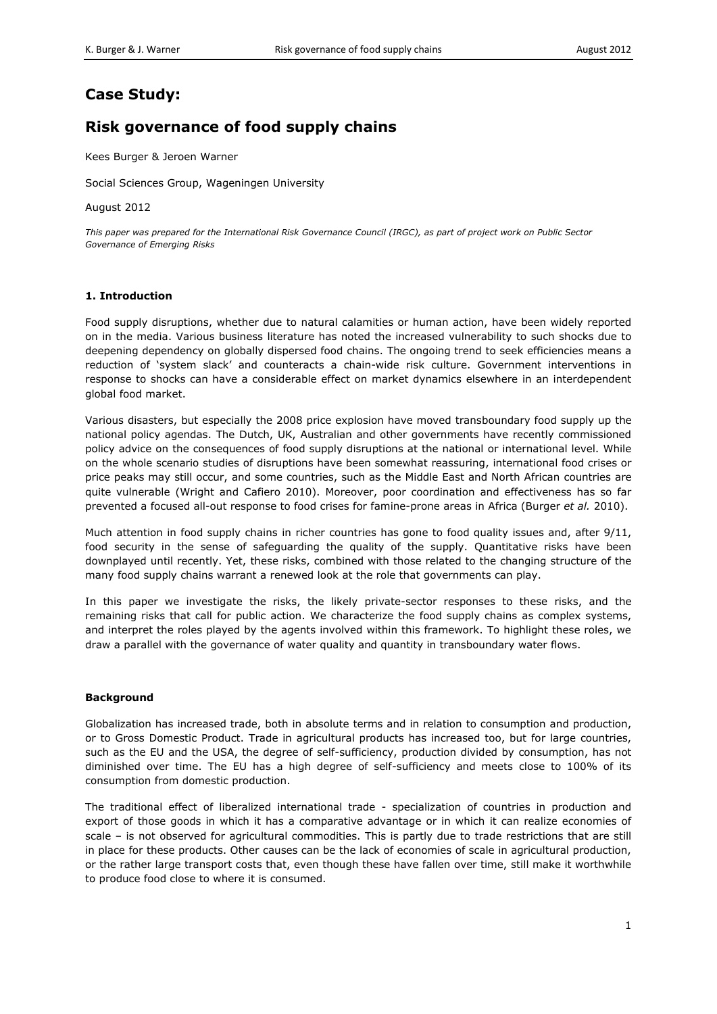# **Case Study:**

# **Risk governance of food supply chains**

Kees Burger & Jeroen Warner

Social Sciences Group, Wageningen University

August 2012

*This paper was prepared for the International Risk Governance Council (IRGC), as part of project work on Public Sector Governance of Emerging Risks*

#### **1. Introduction**

Food supply disruptions, whether due to natural calamities or human action, have been widely reported on in the media. Various business literature has noted the increased vulnerability to such shocks due to deepening dependency on globally dispersed food chains. The ongoing trend to seek efficiencies means a reduction of 'system slack' and counteracts a chain-wide risk culture. Government interventions in response to shocks can have a considerable effect on market dynamics elsewhere in an interdependent global food market.

Various disasters, but especially the 2008 price explosion have moved transboundary food supply up the national policy agendas. The Dutch, UK, Australian and other governments have recently commissioned policy advice on the consequences of food supply disruptions at the national or international level. While on the whole scenario studies of disruptions have been somewhat reassuring, international food crises or price peaks may still occur, and some countries, such as the Middle East and North African countries are quite vulnerable (Wright and Cafiero 2010). Moreover, poor coordination and effectiveness has so far prevented a focused all-out response to food crises for famine-prone areas in Africa (Burger *et al.* 2010).

Much attention in food supply chains in richer countries has gone to food quality issues and, after 9/11, food security in the sense of safeguarding the quality of the supply. Quantitative risks have been downplayed until recently. Yet, these risks, combined with those related to the changing structure of the many food supply chains warrant a renewed look at the role that governments can play.

In this paper we investigate the risks, the likely private-sector responses to these risks, and the remaining risks that call for public action. We characterize the food supply chains as complex systems, and interpret the roles played by the agents involved within this framework. To highlight these roles, we draw a parallel with the governance of water quality and quantity in transboundary water flows.

#### **Background**

Globalization has increased trade, both in absolute terms and in relation to consumption and production, or to Gross Domestic Product. Trade in agricultural products has increased too, but for large countries, such as the EU and the USA, the degree of self-sufficiency, production divided by consumption, has not diminished over time. The EU has a high degree of self-sufficiency and meets close to 100% of its consumption from domestic production.

The traditional effect of liberalized international trade - specialization of countries in production and export of those goods in which it has a comparative advantage or in which it can realize economies of scale – is not observed for agricultural commodities. This is partly due to trade restrictions that are still in place for these products. Other causes can be the lack of economies of scale in agricultural production, or the rather large transport costs that, even though these have fallen over time, still make it worthwhile to produce food close to where it is consumed.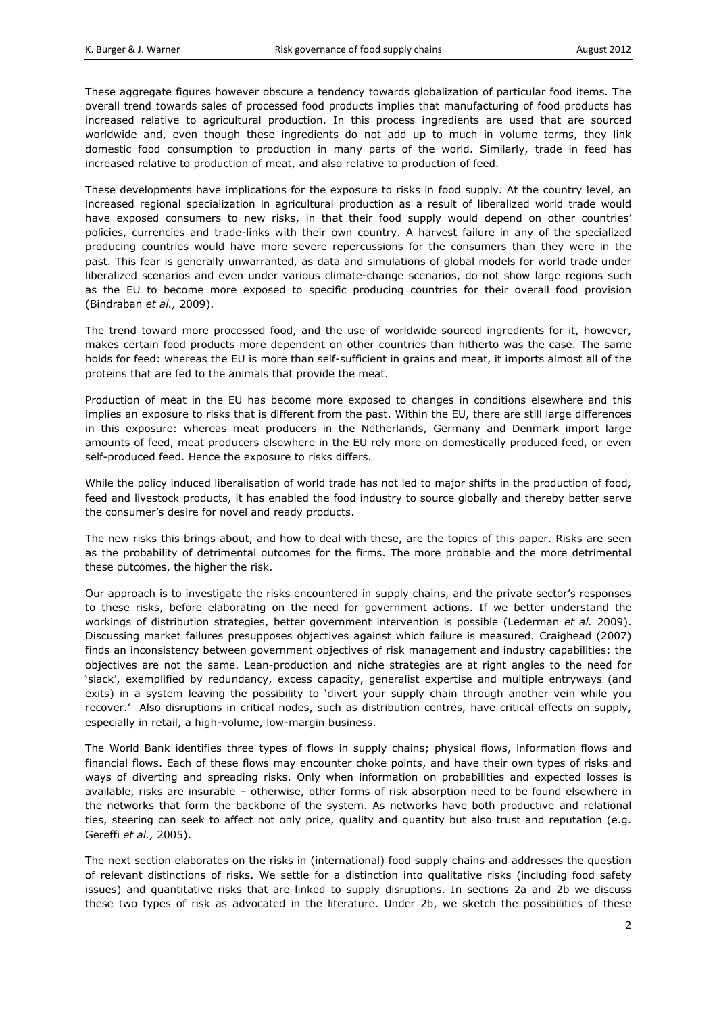These aggregate figures however obscure a tendency towards globalization of particular food items. The overall trend towards sales of processed food products implies that manufacturing of food products has increased relative to agricultural production. In this process ingredients are used that are sourced worldwide and, even though these ingredients do not add up to much in volume terms, they link domestic food consumption to production in many parts of the world. Similarly, trade in feed has increased relative to production of meat, and also relative to production of feed.

These developments have implications for the exposure to risks in food supply. At the country level, an increased regional specialization in agricultural production as a result of liberalized world trade would have exposed consumers to new risks, in that their food supply would depend on other countries' policies, currencies and trade-links with their own country. A harvest failure in any of the specialized producing countries would have more severe repercussions for the consumers than they were in the past. This fear is generally unwarranted, as data and simulations of global models for world trade under liberalized scenarios and even under various climate-change scenarios, do not show large regions such as the EU to become more exposed to specific producing countries for their overall food provision (Bindraban *et al.,* 2009).

The trend toward more processed food, and the use of worldwide sourced ingredients for it, however, makes certain food products more dependent on other countries than hitherto was the case. The same holds for feed: whereas the EU is more than self-sufficient in grains and meat, it imports almost all of the proteins that are fed to the animals that provide the meat.

Production of meat in the EU has become more exposed to changes in conditions elsewhere and this implies an exposure to risks that is different from the past. Within the EU, there are still large differences in this exposure: whereas meat producers in the Netherlands, Germany and Denmark import large amounts of feed, meat producers elsewhere in the EU rely more on domestically produced feed, or even self-produced feed. Hence the exposure to risks differs.

While the policy induced liberalisation of world trade has not led to major shifts in the production of food, feed and livestock products, it has enabled the food industry to source globally and thereby better serve the consumer's desire for novel and ready products.

The new risks this brings about, and how to deal with these, are the topics of this paper. Risks are seen as the probability of detrimental outcomes for the firms. The more probable and the more detrimental these outcomes, the higher the risk.

Our approach is to investigate the risks encountered in supply chains, and the private sector's responses to these risks, before elaborating on the need for government actions. If we better understand the workings of distribution strategies, better government intervention is possible (Lederman *et al.* 2009). Discussing market failures presupposes objectives against which failure is measured. Craighead (2007) finds an inconsistency between government objectives of risk management and industry capabilities; the objectives are not the same. Lean-production and niche strategies are at right angles to the need for 'slack', exemplified by redundancy, excess capacity, generalist expertise and multiple entryways (and exits) in a system leaving the possibility to 'divert your supply chain through another vein while you recover.' Also disruptions in critical nodes, such as distribution centres, have critical effects on supply, especially in retail, a high-volume, low-margin business.

The World Bank identifies three types of flows in supply chains; physical flows, information flows and financial flows. Each of these flows may encounter choke points, and have their own types of risks and ways of diverting and spreading risks. Only when information on probabilities and expected losses is available, risks are insurable – otherwise, other forms of risk absorption need to be found elsewhere in the networks that form the backbone of the system. As networks have both productive and relational ties, steering can seek to affect not only price, quality and quantity but also trust and reputation (e.g. Gereffi *et al.,* 2005).

The next section elaborates on the risks in (international) food supply chains and addresses the question of relevant distinctions of risks. We settle for a distinction into qualitative risks (including food safety issues) and quantitative risks that are linked to supply disruptions. In sections 2a and 2b we discuss these two types of risk as advocated in the literature. Under 2b, we sketch the possibilities of these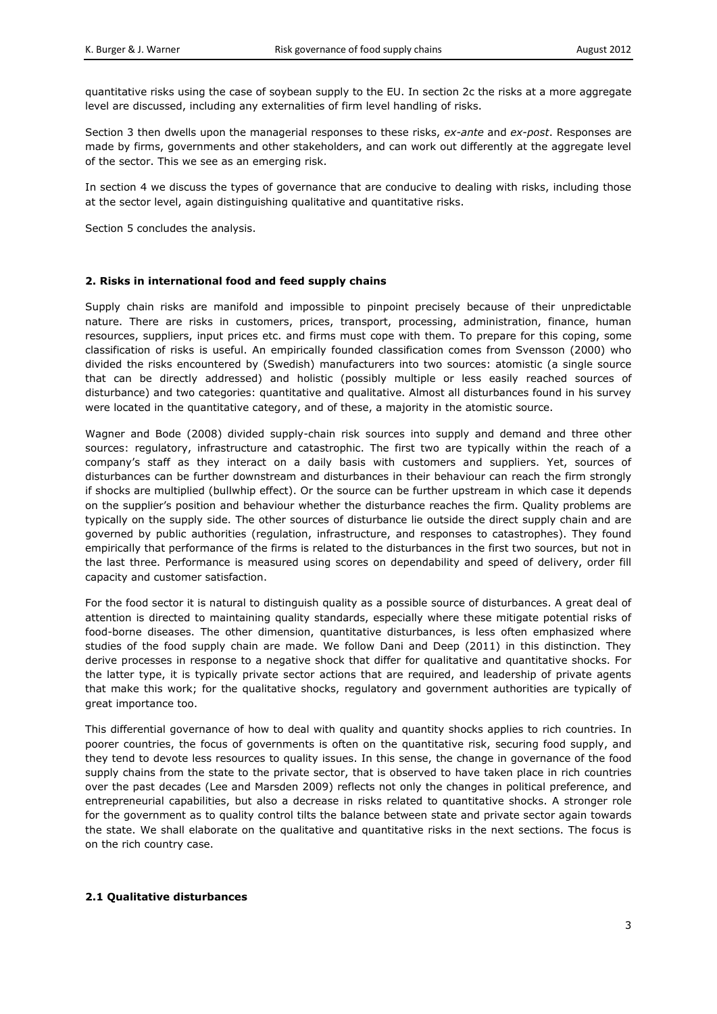quantitative risks using the case of soybean supply to the EU. In section 2c the risks at a more aggregate level are discussed, including any externalities of firm level handling of risks.

Section 3 then dwells upon the managerial responses to these risks, *ex-ante* and *ex-post*. Responses are made by firms, governments and other stakeholders, and can work out differently at the aggregate level of the sector. This we see as an emerging risk.

In section 4 we discuss the types of governance that are conducive to dealing with risks, including those at the sector level, again distinguishing qualitative and quantitative risks.

Section 5 concludes the analysis.

## **2. Risks in international food and feed supply chains**

Supply chain risks are manifold and impossible to pinpoint precisely because of their unpredictable nature. There are risks in customers, prices, transport, processing, administration, finance, human resources, suppliers, input prices etc. and firms must cope with them. To prepare for this coping, some classification of risks is useful. An empirically founded classification comes from Svensson (2000) who divided the risks encountered by (Swedish) manufacturers into two sources: atomistic (a single source that can be directly addressed) and holistic (possibly multiple or less easily reached sources of disturbance) and two categories: quantitative and qualitative. Almost all disturbances found in his survey were located in the quantitative category, and of these, a majority in the atomistic source.

Wagner and Bode (2008) divided supply-chain risk sources into supply and demand and three other sources: regulatory, infrastructure and catastrophic. The first two are typically within the reach of a company's staff as they interact on a daily basis with customers and suppliers. Yet, sources of disturbances can be further downstream and disturbances in their behaviour can reach the firm strongly if shocks are multiplied (bullwhip effect). Or the source can be further upstream in which case it depends on the supplier's position and behaviour whether the disturbance reaches the firm. Quality problems are typically on the supply side. The other sources of disturbance lie outside the direct supply chain and are governed by public authorities (regulation, infrastructure, and responses to catastrophes). They found empirically that performance of the firms is related to the disturbances in the first two sources, but not in the last three. Performance is measured using scores on dependability and speed of delivery, order fill capacity and customer satisfaction.

For the food sector it is natural to distinguish quality as a possible source of disturbances. A great deal of attention is directed to maintaining quality standards, especially where these mitigate potential risks of food-borne diseases. The other dimension, quantitative disturbances, is less often emphasized where studies of the food supply chain are made. We follow Dani and Deep (2011) in this distinction. They derive processes in response to a negative shock that differ for qualitative and quantitative shocks. For the latter type, it is typically private sector actions that are required, and leadership of private agents that make this work; for the qualitative shocks, regulatory and government authorities are typically of great importance too.

This differential governance of how to deal with quality and quantity shocks applies to rich countries. In poorer countries, the focus of governments is often on the quantitative risk, securing food supply, and they tend to devote less resources to quality issues. In this sense, the change in governance of the food supply chains from the state to the private sector, that is observed to have taken place in rich countries over the past decades (Lee and Marsden 2009) reflects not only the changes in political preference, and entrepreneurial capabilities, but also a decrease in risks related to quantitative shocks. A stronger role for the government as to quality control tilts the balance between state and private sector again towards the state. We shall elaborate on the qualitative and quantitative risks in the next sections. The focus is on the rich country case.

#### **2.1 Qualitative disturbances**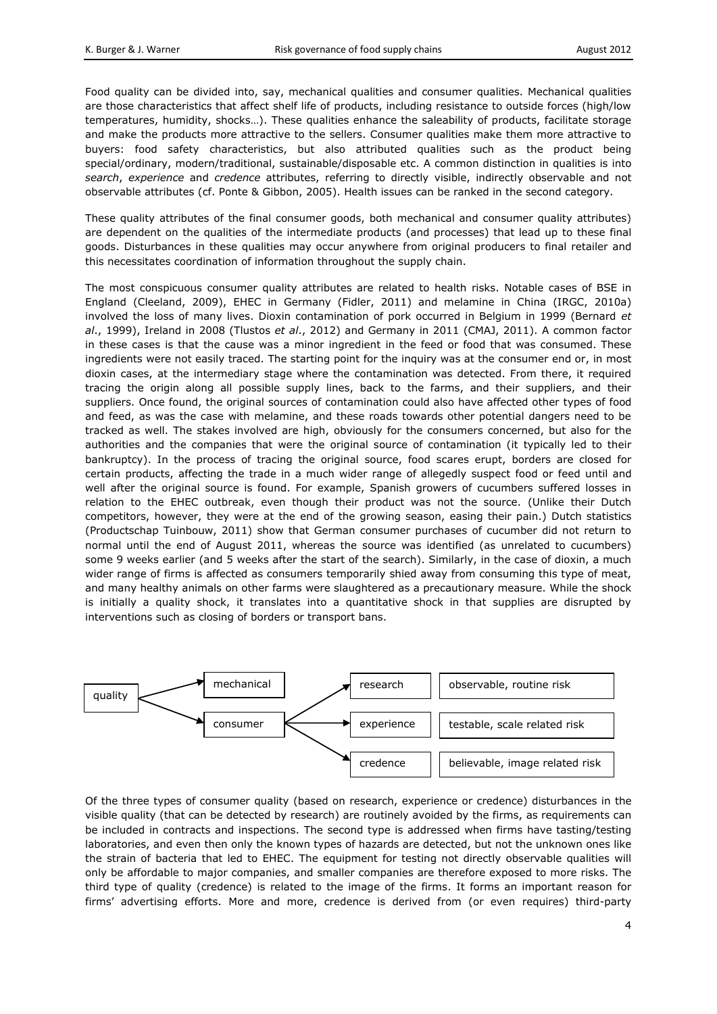Food quality can be divided into, say, mechanical qualities and consumer qualities. Mechanical qualities are those characteristics that affect shelf life of products, including resistance to outside forces (high/low temperatures, humidity, shocks…). These qualities enhance the saleability of products, facilitate storage and make the products more attractive to the sellers. Consumer qualities make them more attractive to buyers: food safety characteristics, but also attributed qualities such as the product being special/ordinary, modern/traditional, sustainable/disposable etc. A common distinction in qualities is into *search*, *experience* and *credence* attributes, referring to directly visible, indirectly observable and not observable attributes (cf. Ponte & Gibbon, 2005). Health issues can be ranked in the second category.

These quality attributes of the final consumer goods, both mechanical and consumer quality attributes) are dependent on the qualities of the intermediate products (and processes) that lead up to these final goods. Disturbances in these qualities may occur anywhere from original producers to final retailer and this necessitates coordination of information throughout the supply chain.

The most conspicuous consumer quality attributes are related to health risks. Notable cases of BSE in England (Cleeland, 2009), EHEC in Germany (Fidler, 2011) and melamine in China (IRGC, 2010a) involved the loss of many lives. Dioxin contamination of pork occurred in Belgium in 1999 (Bernard *et al*., 1999), Ireland in 2008 (Tlustos *et al*., 2012) and Germany in 2011 (CMAJ, 2011). A common factor in these cases is that the cause was a minor ingredient in the feed or food that was consumed. These ingredients were not easily traced. The starting point for the inquiry was at the consumer end or, in most dioxin cases, at the intermediary stage where the contamination was detected. From there, it required tracing the origin along all possible supply lines, back to the farms, and their suppliers, and their suppliers. Once found, the original sources of contamination could also have affected other types of food and feed, as was the case with melamine, and these roads towards other potential dangers need to be tracked as well. The stakes involved are high, obviously for the consumers concerned, but also for the authorities and the companies that were the original source of contamination (it typically led to their bankruptcy). In the process of tracing the original source, food scares erupt, borders are closed for certain products, affecting the trade in a much wider range of allegedly suspect food or feed until and well after the original source is found. For example, Spanish growers of cucumbers suffered losses in relation to the EHEC outbreak, even though their product was not the source. (Unlike their Dutch competitors, however, they were at the end of the growing season, easing their pain.) Dutch statistics (Productschap Tuinbouw, 2011) show that German consumer purchases of cucumber did not return to normal until the end of August 2011, whereas the source was identified (as unrelated to cucumbers) some 9 weeks earlier (and 5 weeks after the start of the search). Similarly, in the case of dioxin, a much wider range of firms is affected as consumers temporarily shied away from consuming this type of meat, and many healthy animals on other farms were slaughtered as a precautionary measure. While the shock is initially a quality shock, it translates into a quantitative shock in that supplies are disrupted by interventions such as closing of borders or transport bans.



Of the three types of consumer quality (based on research, experience or credence) disturbances in the visible quality (that can be detected by research) are routinely avoided by the firms, as requirements can be included in contracts and inspections. The second type is addressed when firms have tasting/testing laboratories, and even then only the known types of hazards are detected, but not the unknown ones like the strain of bacteria that led to EHEC. The equipment for testing not directly observable qualities will only be affordable to major companies, and smaller companies are therefore exposed to more risks. The third type of quality (credence) is related to the image of the firms. It forms an important reason for firms' advertising efforts. More and more, credence is derived from (or even requires) third-party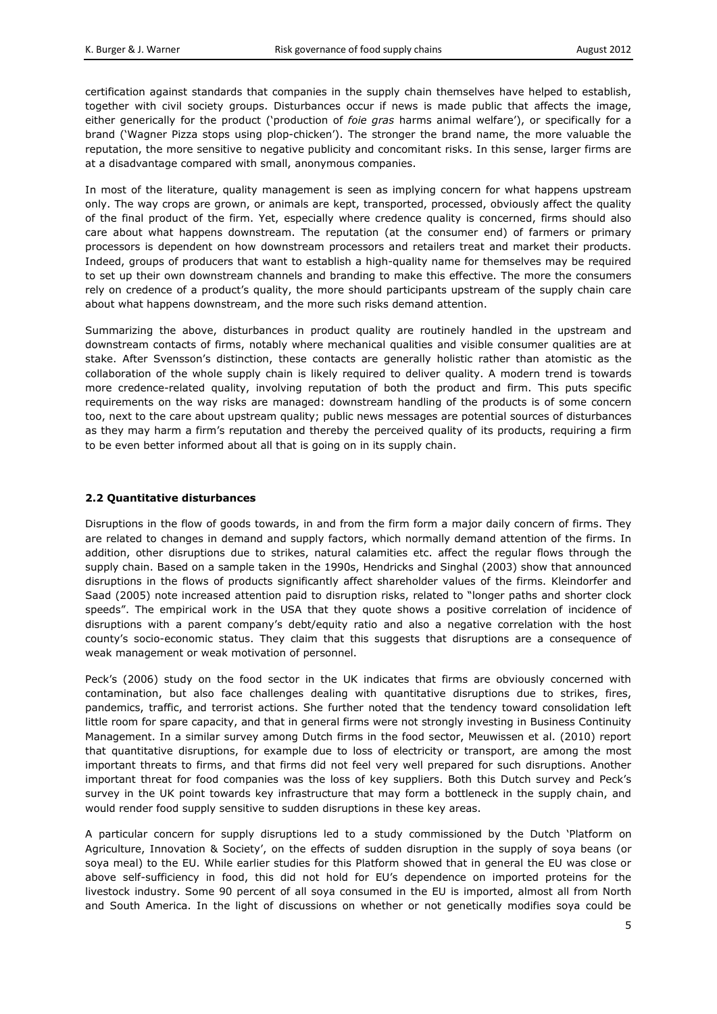certification against standards that companies in the supply chain themselves have helped to establish, together with civil society groups. Disturbances occur if news is made public that affects the image, either generically for the product ('production of *foie gras* harms animal welfare'), or specifically for a brand ('Wagner Pizza stops using plop-chicken'). The stronger the brand name, the more valuable the reputation, the more sensitive to negative publicity and concomitant risks. In this sense, larger firms are at a disadvantage compared with small, anonymous companies.

In most of the literature, quality management is seen as implying concern for what happens upstream only. The way crops are grown, or animals are kept, transported, processed, obviously affect the quality of the final product of the firm. Yet, especially where credence quality is concerned, firms should also care about what happens downstream. The reputation (at the consumer end) of farmers or primary processors is dependent on how downstream processors and retailers treat and market their products. Indeed, groups of producers that want to establish a high-quality name for themselves may be required to set up their own downstream channels and branding to make this effective. The more the consumers rely on credence of a product's quality, the more should participants upstream of the supply chain care about what happens downstream, and the more such risks demand attention.

Summarizing the above, disturbances in product quality are routinely handled in the upstream and downstream contacts of firms, notably where mechanical qualities and visible consumer qualities are at stake. After Svensson's distinction, these contacts are generally holistic rather than atomistic as the collaboration of the whole supply chain is likely required to deliver quality. A modern trend is towards more credence-related quality, involving reputation of both the product and firm. This puts specific requirements on the way risks are managed: downstream handling of the products is of some concern too, next to the care about upstream quality; public news messages are potential sources of disturbances as they may harm a firm's reputation and thereby the perceived quality of its products, requiring a firm to be even better informed about all that is going on in its supply chain.

## **2.2 Quantitative disturbances**

Disruptions in the flow of goods towards, in and from the firm form a major daily concern of firms. They are related to changes in demand and supply factors, which normally demand attention of the firms. In addition, other disruptions due to strikes, natural calamities etc. affect the regular flows through the supply chain. Based on a sample taken in the 1990s, Hendricks and Singhal (2003) show that announced disruptions in the flows of products significantly affect shareholder values of the firms. Kleindorfer and Saad (2005) note increased attention paid to disruption risks, related to "longer paths and shorter clock speeds". The empirical work in the USA that they quote shows a positive correlation of incidence of disruptions with a parent company's debt/equity ratio and also a negative correlation with the host county's socio-economic status. They claim that this suggests that disruptions are a consequence of weak management or weak motivation of personnel.

Peck's (2006) study on the food sector in the UK indicates that firms are obviously concerned with contamination, but also face challenges dealing with quantitative disruptions due to strikes, fires, pandemics, traffic, and terrorist actions. She further noted that the tendency toward consolidation left little room for spare capacity, and that in general firms were not strongly investing in Business Continuity Management. In a similar survey among Dutch firms in the food sector, Meuwissen et al. (2010) report that quantitative disruptions, for example due to loss of electricity or transport, are among the most important threats to firms, and that firms did not feel very well prepared for such disruptions. Another important threat for food companies was the loss of key suppliers. Both this Dutch survey and Peck's survey in the UK point towards key infrastructure that may form a bottleneck in the supply chain, and would render food supply sensitive to sudden disruptions in these key areas.

A particular concern for supply disruptions led to a study commissioned by the Dutch 'Platform on Agriculture, Innovation & Society', on the effects of sudden disruption in the supply of soya beans (or soya meal) to the EU. While earlier studies for this Platform showed that in general the EU was close or above self-sufficiency in food, this did not hold for EU's dependence on imported proteins for the livestock industry. Some 90 percent of all soya consumed in the EU is imported, almost all from North and South America. In the light of discussions on whether or not genetically modifies soya could be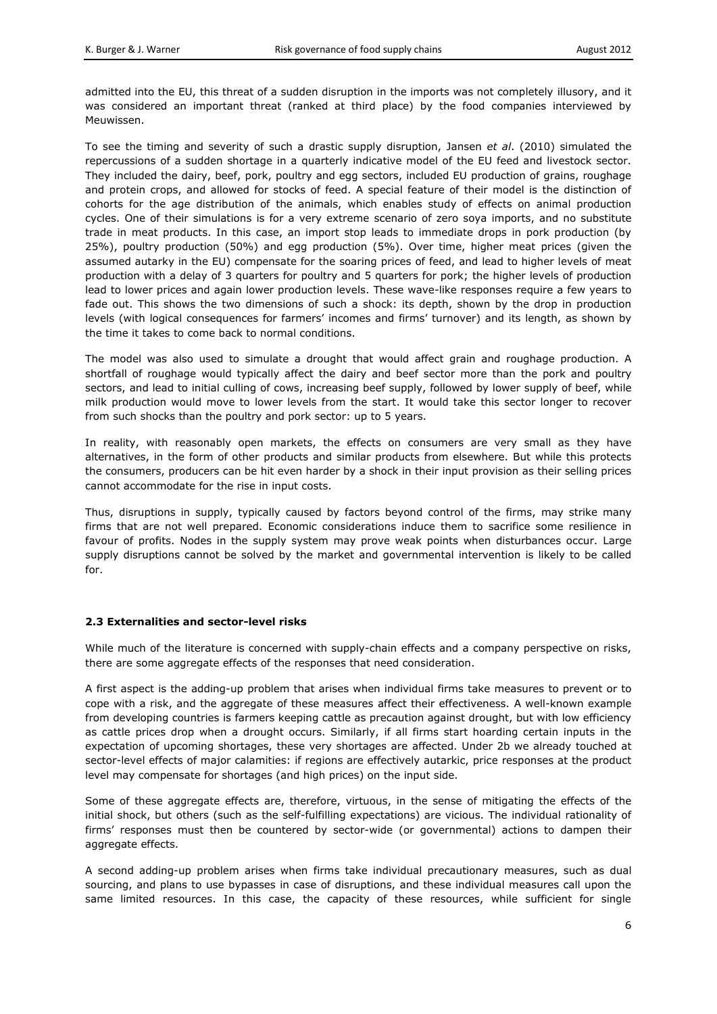admitted into the EU, this threat of a sudden disruption in the imports was not completely illusory, and it was considered an important threat (ranked at third place) by the food companies interviewed by Meuwissen.

To see the timing and severity of such a drastic supply disruption, Jansen *et al*. (2010) simulated the repercussions of a sudden shortage in a quarterly indicative model of the EU feed and livestock sector. They included the dairy, beef, pork, poultry and egg sectors, included EU production of grains, roughage and protein crops, and allowed for stocks of feed. A special feature of their model is the distinction of cohorts for the age distribution of the animals, which enables study of effects on animal production cycles. One of their simulations is for a very extreme scenario of zero soya imports, and no substitute trade in meat products. In this case, an import stop leads to immediate drops in pork production (by 25%), poultry production (50%) and egg production (5%). Over time, higher meat prices (given the assumed autarky in the EU) compensate for the soaring prices of feed, and lead to higher levels of meat production with a delay of 3 quarters for poultry and 5 quarters for pork; the higher levels of production lead to lower prices and again lower production levels. These wave-like responses require a few years to fade out. This shows the two dimensions of such a shock: its depth, shown by the drop in production levels (with logical consequences for farmers' incomes and firms' turnover) and its length, as shown by the time it takes to come back to normal conditions.

The model was also used to simulate a drought that would affect grain and roughage production. A shortfall of roughage would typically affect the dairy and beef sector more than the pork and poultry sectors, and lead to initial culling of cows, increasing beef supply, followed by lower supply of beef, while milk production would move to lower levels from the start. It would take this sector longer to recover from such shocks than the poultry and pork sector: up to 5 years.

In reality, with reasonably open markets, the effects on consumers are very small as they have alternatives, in the form of other products and similar products from elsewhere. But while this protects the consumers, producers can be hit even harder by a shock in their input provision as their selling prices cannot accommodate for the rise in input costs.

Thus, disruptions in supply, typically caused by factors beyond control of the firms, may strike many firms that are not well prepared. Economic considerations induce them to sacrifice some resilience in favour of profits. Nodes in the supply system may prove weak points when disturbances occur. Large supply disruptions cannot be solved by the market and governmental intervention is likely to be called for.

# **2.3 Externalities and sector-level risks**

While much of the literature is concerned with supply-chain effects and a company perspective on risks, there are some aggregate effects of the responses that need consideration.

A first aspect is the adding-up problem that arises when individual firms take measures to prevent or to cope with a risk, and the aggregate of these measures affect their effectiveness. A well-known example from developing countries is farmers keeping cattle as precaution against drought, but with low efficiency as cattle prices drop when a drought occurs. Similarly, if all firms start hoarding certain inputs in the expectation of upcoming shortages, these very shortages are affected. Under 2b we already touched at sector-level effects of major calamities: if regions are effectively autarkic, price responses at the product level may compensate for shortages (and high prices) on the input side.

Some of these aggregate effects are, therefore, virtuous, in the sense of mitigating the effects of the initial shock, but others (such as the self-fulfilling expectations) are vicious. The individual rationality of firms' responses must then be countered by sector-wide (or governmental) actions to dampen their aggregate effects.

A second adding-up problem arises when firms take individual precautionary measures, such as dual sourcing, and plans to use bypasses in case of disruptions, and these individual measures call upon the same limited resources. In this case, the capacity of these resources, while sufficient for single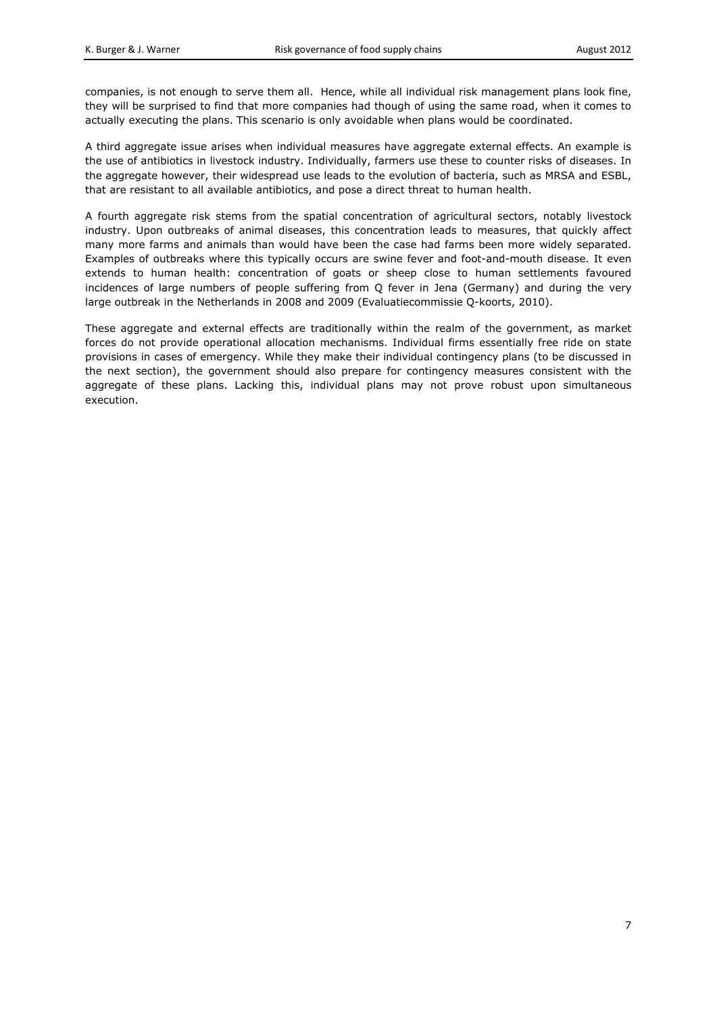companies, is not enough to serve them all. Hence, while all individual risk management plans look fine, they will be surprised to find that more companies had though of using the same road, when it comes to actually executing the plans. This scenario is only avoidable when plans would be coordinated.

A third aggregate issue arises when individual measures have aggregate external effects. An example is the use of antibiotics in livestock industry. Individually, farmers use these to counter risks of diseases. In the aggregate however, their widespread use leads to the evolution of bacteria, such as MRSA and ESBL, that are resistant to all available antibiotics, and pose a direct threat to human health.

A fourth aggregate risk stems from the spatial concentration of agricultural sectors, notably livestock industry. Upon outbreaks of animal diseases, this concentration leads to measures, that quickly affect many more farms and animals than would have been the case had farms been more widely separated. Examples of outbreaks where this typically occurs are swine fever and foot-and-mouth disease. It even extends to human health: concentration of goats or sheep close to human settlements favoured incidences of large numbers of people suffering from Q fever in Jena (Germany) and during the very large outbreak in the Netherlands in 2008 and 2009 (Evaluatiecommissie Q-koorts, 2010).

These aggregate and external effects are traditionally within the realm of the government, as market forces do not provide operational allocation mechanisms. Individual firms essentially free ride on state provisions in cases of emergency. While they make their individual contingency plans (to be discussed in the next section), the government should also prepare for contingency measures consistent with the aggregate of these plans. Lacking this, individual plans may not prove robust upon simultaneous execution.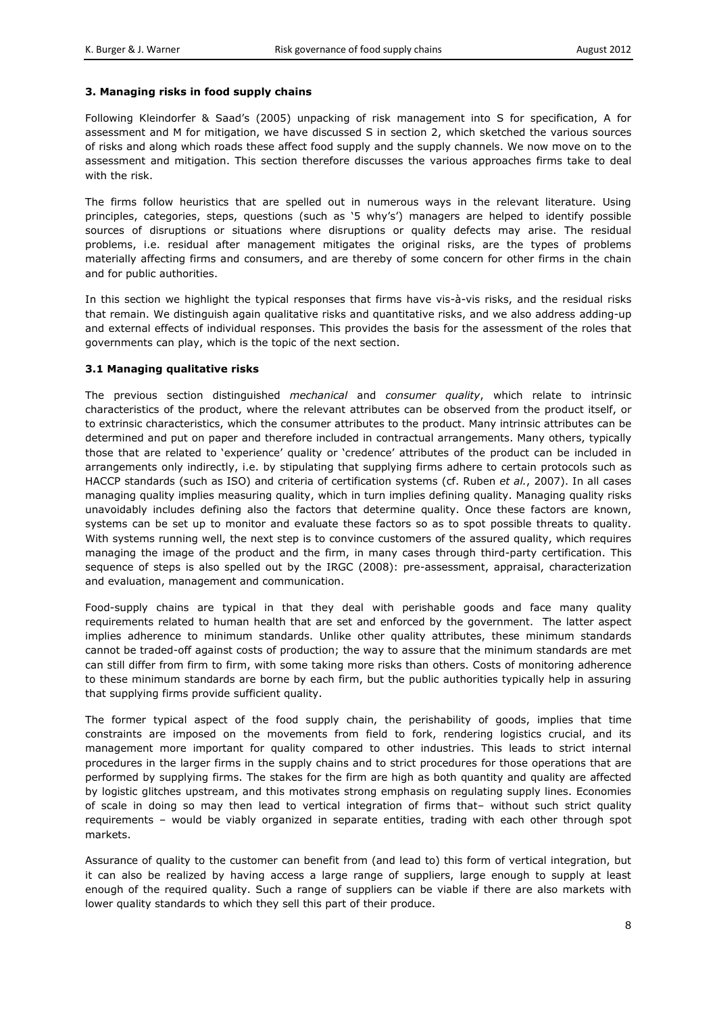# **3. Managing risks in food supply chains**

Following Kleindorfer & Saad's (2005) unpacking of risk management into S for specification, A for assessment and M for mitigation, we have discussed S in section 2, which sketched the various sources of risks and along which roads these affect food supply and the supply channels. We now move on to the assessment and mitigation. This section therefore discusses the various approaches firms take to deal with the risk.

The firms follow heuristics that are spelled out in numerous ways in the relevant literature. Using principles, categories, steps, questions (such as '5 why's') managers are helped to identify possible sources of disruptions or situations where disruptions or quality defects may arise. The residual problems, i.e. residual after management mitigates the original risks, are the types of problems materially affecting firms and consumers, and are thereby of some concern for other firms in the chain and for public authorities.

In this section we highlight the typical responses that firms have vis-à-vis risks, and the residual risks that remain. We distinguish again qualitative risks and quantitative risks, and we also address adding-up and external effects of individual responses. This provides the basis for the assessment of the roles that governments can play, which is the topic of the next section.

#### **3.1 Managing qualitative risks**

The previous section distinguished *mechanical* and *consumer quality*, which relate to intrinsic characteristics of the product, where the relevant attributes can be observed from the product itself, or to extrinsic characteristics, which the consumer attributes to the product. Many intrinsic attributes can be determined and put on paper and therefore included in contractual arrangements. Many others, typically those that are related to 'experience' quality or 'credence' attributes of the product can be included in arrangements only indirectly, i.e. by stipulating that supplying firms adhere to certain protocols such as HACCP standards (such as ISO) and criteria of certification systems (cf. Ruben *et al.*, 2007). In all cases managing quality implies measuring quality, which in turn implies defining quality. Managing quality risks unavoidably includes defining also the factors that determine quality. Once these factors are known, systems can be set up to monitor and evaluate these factors so as to spot possible threats to quality. With systems running well, the next step is to convince customers of the assured quality, which requires managing the image of the product and the firm, in many cases through third-party certification. This sequence of steps is also spelled out by the IRGC (2008): pre-assessment, appraisal, characterization and evaluation, management and communication.

Food-supply chains are typical in that they deal with perishable goods and face many quality requirements related to human health that are set and enforced by the government. The latter aspect implies adherence to minimum standards. Unlike other quality attributes, these minimum standards cannot be traded-off against costs of production; the way to assure that the minimum standards are met can still differ from firm to firm, with some taking more risks than others. Costs of monitoring adherence to these minimum standards are borne by each firm, but the public authorities typically help in assuring that supplying firms provide sufficient quality.

The former typical aspect of the food supply chain, the perishability of goods, implies that time constraints are imposed on the movements from field to fork, rendering logistics crucial, and its management more important for quality compared to other industries. This leads to strict internal procedures in the larger firms in the supply chains and to strict procedures for those operations that are performed by supplying firms. The stakes for the firm are high as both quantity and quality are affected by logistic glitches upstream, and this motivates strong emphasis on regulating supply lines. Economies of scale in doing so may then lead to vertical integration of firms that– without such strict quality requirements – would be viably organized in separate entities, trading with each other through spot markets.

Assurance of quality to the customer can benefit from (and lead to) this form of vertical integration, but it can also be realized by having access a large range of suppliers, large enough to supply at least enough of the required quality. Such a range of suppliers can be viable if there are also markets with lower quality standards to which they sell this part of their produce.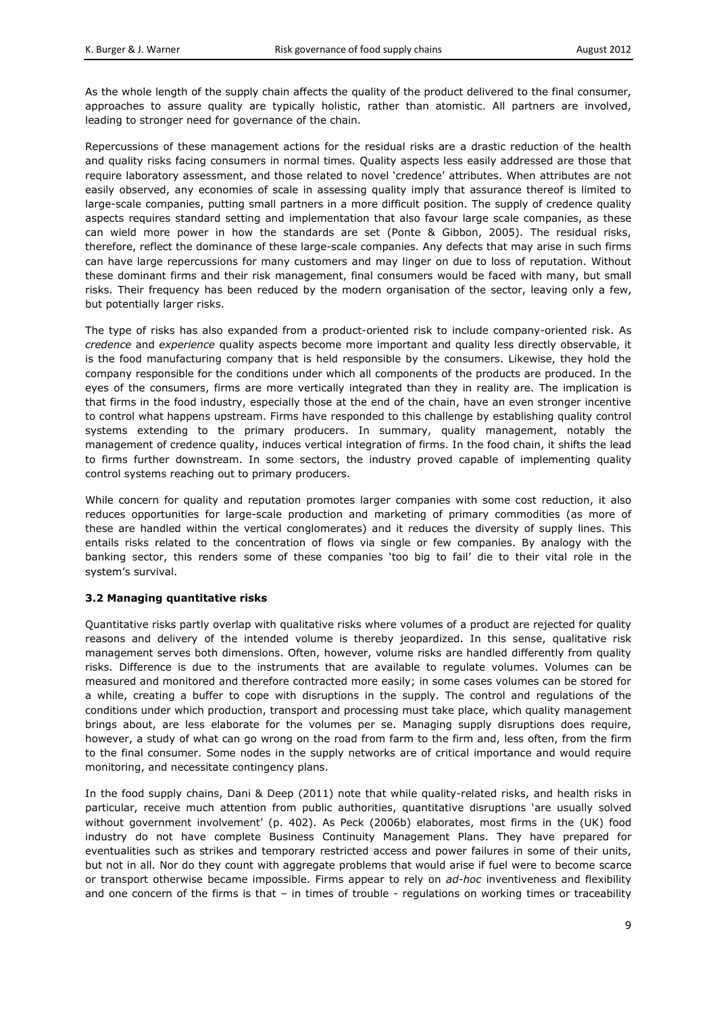As the whole length of the supply chain affects the quality of the product delivered to the final consumer, approaches to assure quality are typically holistic, rather than atomistic. All partners are involved, leading to stronger need for governance of the chain.

Repercussions of these management actions for the residual risks are a drastic reduction of the health and quality risks facing consumers in normal times. Quality aspects less easily addressed are those that require laboratory assessment, and those related to novel 'credence' attributes. When attributes are not easily observed, any economies of scale in assessing quality imply that assurance thereof is limited to large-scale companies, putting small partners in a more difficult position. The supply of credence quality aspects requires standard setting and implementation that also favour large scale companies, as these can wield more power in how the standards are set (Ponte & Gibbon, 2005). The residual risks, therefore, reflect the dominance of these large-scale companies. Any defects that may arise in such firms can have large repercussions for many customers and may linger on due to loss of reputation. Without these dominant firms and their risk management, final consumers would be faced with many, but small risks. Their frequency has been reduced by the modern organisation of the sector, leaving only a few, but potentially larger risks.

The type of risks has also expanded from a product-oriented risk to include company-oriented risk. As *credence* and *experience* quality aspects become more important and quality less directly observable, it is the food manufacturing company that is held responsible by the consumers. Likewise, they hold the company responsible for the conditions under which all components of the products are produced. In the eyes of the consumers, firms are more vertically integrated than they in reality are. The implication is that firms in the food industry, especially those at the end of the chain, have an even stronger incentive to control what happens upstream. Firms have responded to this challenge by establishing quality control systems extending to the primary producers. In summary, quality management, notably the management of credence quality, induces vertical integration of firms. In the food chain, it shifts the lead to firms further downstream. In some sectors, the industry proved capable of implementing quality control systems reaching out to primary producers.

While concern for quality and reputation promotes larger companies with some cost reduction, it also reduces opportunities for large-scale production and marketing of primary commodities (as more of these are handled within the vertical conglomerates) and it reduces the diversity of supply lines. This entails risks related to the concentration of flows via single or few companies. By analogy with the banking sector, this renders some of these companies 'too big to fail' die to their vital role in the system's survival.

# **3.2 Managing quantitative risks**

Quantitative risks partly overlap with qualitative risks where volumes of a product are rejected for quality reasons and delivery of the intended volume is thereby jeopardized. In this sense, qualitative risk management serves both dimensions. Often, however, volume risks are handled differently from quality risks. Difference is due to the instruments that are available to regulate volumes. Volumes can be measured and monitored and therefore contracted more easily; in some cases volumes can be stored for a while, creating a buffer to cope with disruptions in the supply. The control and regulations of the conditions under which production, transport and processing must take place, which quality management brings about, are less elaborate for the volumes per se. Managing supply disruptions does require, however, a study of what can go wrong on the road from farm to the firm and, less often, from the firm to the final consumer. Some nodes in the supply networks are of critical importance and would require monitoring, and necessitate contingency plans.

In the food supply chains, Dani & Deep (2011) note that while quality-related risks, and health risks in particular, receive much attention from public authorities, quantitative disruptions 'are usually solved without government involvement' (p. 402). As Peck (2006b) elaborates, most firms in the (UK) food industry do not have complete Business Continuity Management Plans. They have prepared for eventualities such as strikes and temporary restricted access and power failures in some of their units, but not in all. Nor do they count with aggregate problems that would arise if fuel were to become scarce or transport otherwise became impossible. Firms appear to rely on *ad-hoc* inventiveness and flexibility and one concern of the firms is that - in times of trouble - regulations on working times or traceability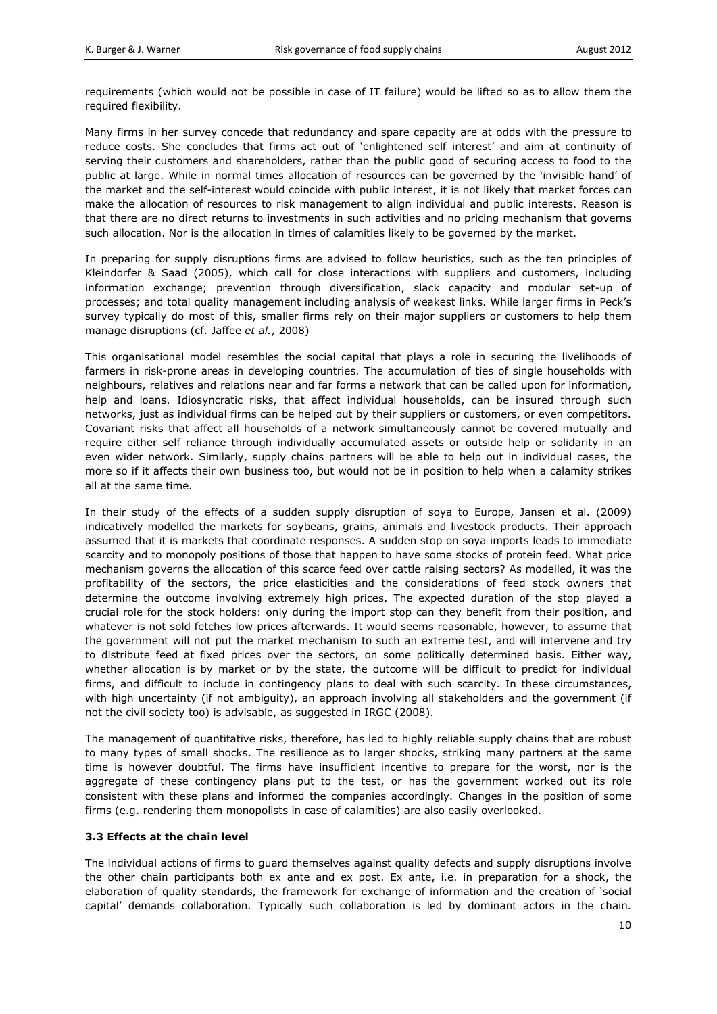requirements (which would not be possible in case of IT failure) would be lifted so as to allow them the required flexibility.

Many firms in her survey concede that redundancy and spare capacity are at odds with the pressure to reduce costs. She concludes that firms act out of 'enlightened self interest' and aim at continuity of serving their customers and shareholders, rather than the public good of securing access to food to the public at large. While in normal times allocation of resources can be governed by the 'invisible hand' of the market and the self-interest would coincide with public interest, it is not likely that market forces can make the allocation of resources to risk management to align individual and public interests. Reason is that there are no direct returns to investments in such activities and no pricing mechanism that governs such allocation. Nor is the allocation in times of calamities likely to be governed by the market.

In preparing for supply disruptions firms are advised to follow heuristics, such as the ten principles of Kleindorfer & Saad (2005), which call for close interactions with suppliers and customers, including information exchange; prevention through diversification, slack capacity and modular set-up of processes; and total quality management including analysis of weakest links. While larger firms in Peck's survey typically do most of this, smaller firms rely on their major suppliers or customers to help them manage disruptions (cf. Jaffee *et al.*, 2008)

This organisational model resembles the social capital that plays a role in securing the livelihoods of farmers in risk-prone areas in developing countries. The accumulation of ties of single households with neighbours, relatives and relations near and far forms a network that can be called upon for information, help and loans. Idiosyncratic risks, that affect individual households, can be insured through such networks, just as individual firms can be helped out by their suppliers or customers, or even competitors. Covariant risks that affect all households of a network simultaneously cannot be covered mutually and require either self reliance through individually accumulated assets or outside help or solidarity in an even wider network. Similarly, supply chains partners will be able to help out in individual cases, the more so if it affects their own business too, but would not be in position to help when a calamity strikes all at the same time.

In their study of the effects of a sudden supply disruption of soya to Europe, Jansen et al. (2009) indicatively modelled the markets for soybeans, grains, animals and livestock products. Their approach assumed that it is markets that coordinate responses. A sudden stop on soya imports leads to immediate scarcity and to monopoly positions of those that happen to have some stocks of protein feed. What price mechanism governs the allocation of this scarce feed over cattle raising sectors? As modelled, it was the profitability of the sectors, the price elasticities and the considerations of feed stock owners that determine the outcome involving extremely high prices. The expected duration of the stop played a crucial role for the stock holders: only during the import stop can they benefit from their position, and whatever is not sold fetches low prices afterwards. It would seems reasonable, however, to assume that the government will not put the market mechanism to such an extreme test, and will intervene and try to distribute feed at fixed prices over the sectors, on some politically determined basis. Either way, whether allocation is by market or by the state, the outcome will be difficult to predict for individual firms, and difficult to include in contingency plans to deal with such scarcity. In these circumstances, with high uncertainty (if not ambiguity), an approach involving all stakeholders and the government (if not the civil society too) is advisable, as suggested in IRGC (2008).

The management of quantitative risks, therefore, has led to highly reliable supply chains that are robust to many types of small shocks. The resilience as to larger shocks, striking many partners at the same time is however doubtful. The firms have insufficient incentive to prepare for the worst, nor is the aggregate of these contingency plans put to the test, or has the government worked out its role consistent with these plans and informed the companies accordingly. Changes in the position of some firms (e.g. rendering them monopolists in case of calamities) are also easily overlooked.

#### **3.3 Effects at the chain level**

The individual actions of firms to guard themselves against quality defects and supply disruptions involve the other chain participants both ex ante and ex post. Ex ante, i.e. in preparation for a shock, the elaboration of quality standards, the framework for exchange of information and the creation of 'social capital' demands collaboration. Typically such collaboration is led by dominant actors in the chain.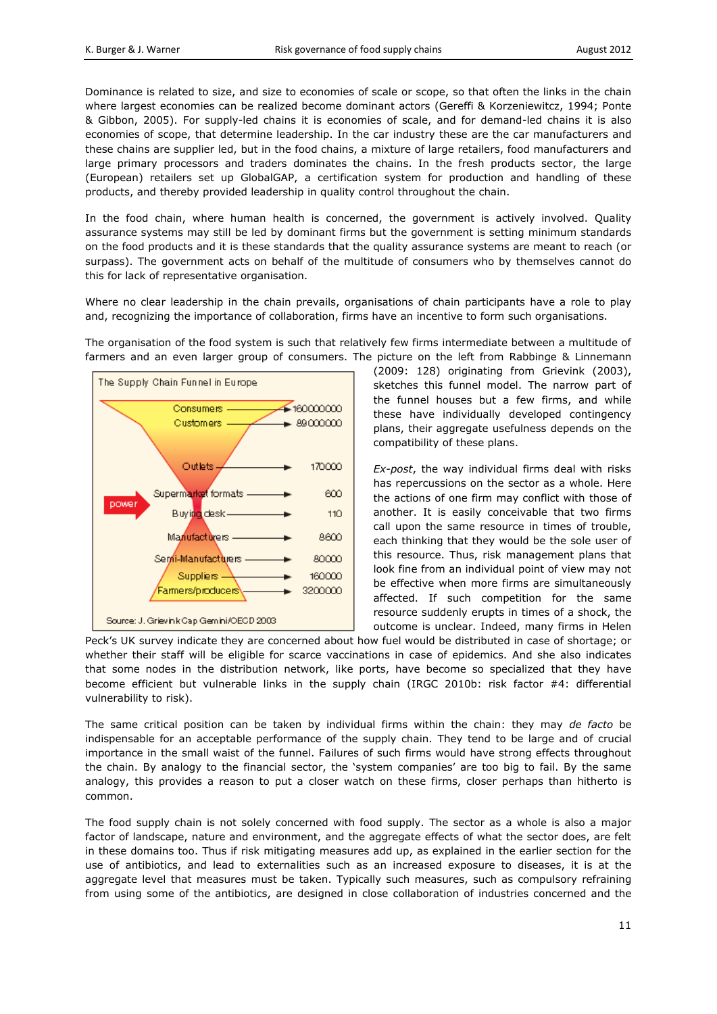Dominance is related to size, and size to economies of scale or scope, so that often the links in the chain where largest economies can be realized become dominant actors (Gereffi & Korzeniewitcz, 1994; Ponte & Gibbon, 2005). For supply-led chains it is economies of scale, and for demand-led chains it is also economies of scope, that determine leadership. In the car industry these are the car manufacturers and these chains are supplier led, but in the food chains, a mixture of large retailers, food manufacturers and large primary processors and traders dominates the chains. In the fresh products sector, the large (European) retailers set up GlobalGAP, a certification system for production and handling of these products, and thereby provided leadership in quality control throughout the chain.

In the food chain, where human health is concerned, the government is actively involved. Quality assurance systems may still be led by dominant firms but the government is setting minimum standards on the food products and it is these standards that the quality assurance systems are meant to reach (or surpass). The government acts on behalf of the multitude of consumers who by themselves cannot do this for lack of representative organisation.

Where no clear leadership in the chain prevails, organisations of chain participants have a role to play and, recognizing the importance of collaboration, firms have an incentive to form such organisations.

The organisation of the food system is such that relatively few firms intermediate between a multitude of farmers and an even larger group of consumers. The picture on the left from Rabbinge & Linnemann



(2009: 128) originating from Grievink (2003), sketches this funnel model. The narrow part of the funnel houses but a few firms, and while these have individually developed contingency plans, their aggregate usefulness depends on the compatibility of these plans.

*Ex-post*, the way individual firms deal with risks has repercussions on the sector as a whole. Here the actions of one firm may conflict with those of another. It is easily conceivable that two firms call upon the same resource in times of trouble, each thinking that they would be the sole user of this resource. Thus, risk management plans that look fine from an individual point of view may not be effective when more firms are simultaneously affected. If such competition for the same resource suddenly erupts in times of a shock, the outcome is unclear. Indeed, many firms in Helen

Peck's UK survey indicate they are concerned about how fuel would be distributed in case of shortage; or whether their staff will be eligible for scarce vaccinations in case of epidemics. And she also indicates that some nodes in the distribution network, like ports, have become so specialized that they have become efficient but vulnerable links in the supply chain (IRGC 2010b: risk factor #4: differential vulnerability to risk).

The same critical position can be taken by individual firms within the chain: they may *de facto* be indispensable for an acceptable performance of the supply chain. They tend to be large and of crucial importance in the small waist of the funnel. Failures of such firms would have strong effects throughout the chain. By analogy to the financial sector, the 'system companies' are too big to fail. By the same analogy, this provides a reason to put a closer watch on these firms, closer perhaps than hitherto is common.

The food supply chain is not solely concerned with food supply. The sector as a whole is also a major factor of landscape, nature and environment, and the aggregate effects of what the sector does, are felt in these domains too. Thus if risk mitigating measures add up, as explained in the earlier section for the use of antibiotics, and lead to externalities such as an increased exposure to diseases, it is at the aggregate level that measures must be taken. Typically such measures, such as compulsory refraining from using some of the antibiotics, are designed in close collaboration of industries concerned and the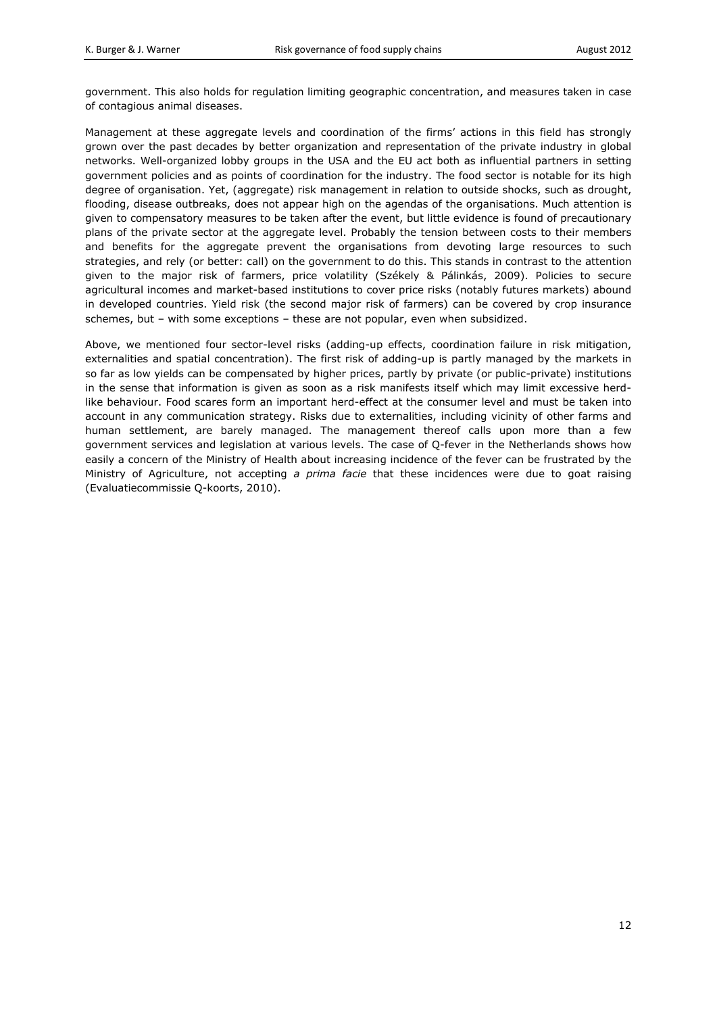government. This also holds for regulation limiting geographic concentration, and measures taken in case of contagious animal diseases.

Management at these aggregate levels and coordination of the firms' actions in this field has strongly grown over the past decades by better organization and representation of the private industry in global networks. Well-organized lobby groups in the USA and the EU act both as influential partners in setting government policies and as points of coordination for the industry. The food sector is notable for its high degree of organisation. Yet, (aggregate) risk management in relation to outside shocks, such as drought, flooding, disease outbreaks, does not appear high on the agendas of the organisations. Much attention is given to compensatory measures to be taken after the event, but little evidence is found of precautionary plans of the private sector at the aggregate level. Probably the tension between costs to their members and benefits for the aggregate prevent the organisations from devoting large resources to such strategies, and rely (or better: call) on the government to do this. This stands in contrast to the attention given to the major risk of farmers, price volatility (Székely & Pálinkás, 2009). Policies to secure agricultural incomes and market-based institutions to cover price risks (notably futures markets) abound in developed countries. Yield risk (the second major risk of farmers) can be covered by crop insurance schemes, but – with some exceptions – these are not popular, even when subsidized.

Above, we mentioned four sector-level risks (adding-up effects, coordination failure in risk mitigation, externalities and spatial concentration). The first risk of adding-up is partly managed by the markets in so far as low yields can be compensated by higher prices, partly by private (or public-private) institutions in the sense that information is given as soon as a risk manifests itself which may limit excessive herdlike behaviour. Food scares form an important herd-effect at the consumer level and must be taken into account in any communication strategy. Risks due to externalities, including vicinity of other farms and human settlement, are barely managed. The management thereof calls upon more than a few government services and legislation at various levels. The case of Q-fever in the Netherlands shows how easily a concern of the Ministry of Health about increasing incidence of the fever can be frustrated by the Ministry of Agriculture, not accepting *a prima facie* that these incidences were due to goat raising (Evaluatiecommissie Q-koorts, 2010).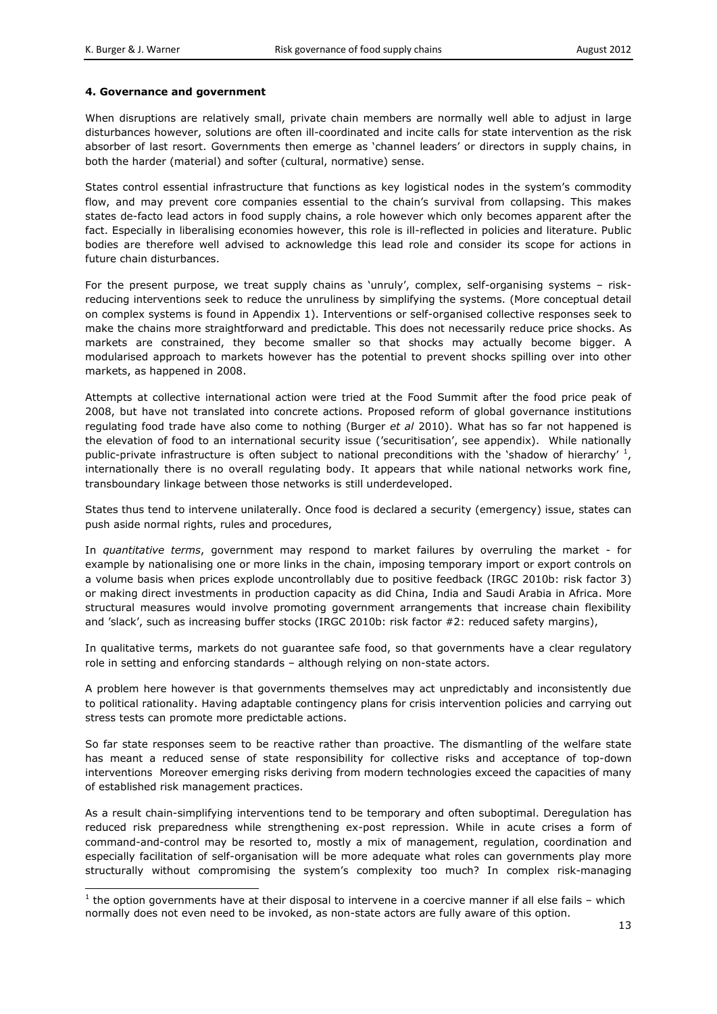-

#### **4. Governance and government**

When disruptions are relatively small, private chain members are normally well able to adjust in large disturbances however, solutions are often ill-coordinated and incite calls for state intervention as the risk absorber of last resort. Governments then emerge as 'channel leaders' or directors in supply chains, in both the harder (material) and softer (cultural, normative) sense.

States control essential infrastructure that functions as key logistical nodes in the system's commodity flow, and may prevent core companies essential to the chain's survival from collapsing. This makes states de-facto lead actors in food supply chains, a role however which only becomes apparent after the fact. Especially in liberalising economies however, this role is ill-reflected in policies and literature. Public bodies are therefore well advised to acknowledge this lead role and consider its scope for actions in future chain disturbances.

For the present purpose, we treat supply chains as 'unruly', complex, self-organising systems – riskreducing interventions seek to reduce the unruliness by simplifying the systems. (More conceptual detail on complex systems is found in Appendix 1). Interventions or self-organised collective responses seek to make the chains more straightforward and predictable. This does not necessarily reduce price shocks. As markets are constrained, they become smaller so that shocks may actually become bigger. A modularised approach to markets however has the potential to prevent shocks spilling over into other markets, as happened in 2008.

Attempts at collective international action were tried at the Food Summit after the food price peak of 2008, but have not translated into concrete actions. Proposed reform of global governance institutions regulating food trade have also come to nothing (Burger *et al* 2010). What has so far not happened is the elevation of food to an international security issue ('securitisation', see appendix). While nationally public-private infrastructure is often subject to national preconditions with the 'shadow of hierarchy'  $\frac{1}{1}$ , internationally there is no overall regulating body. It appears that while national networks work fine, transboundary linkage between those networks is still underdeveloped.

States thus tend to intervene unilaterally. Once food is declared a security (emergency) issue, states can push aside normal rights, rules and procedures,

In *quantitative terms*, government may respond to market failures by overruling the market - for example by nationalising one or more links in the chain, imposing temporary import or export controls on a volume basis when prices explode uncontrollably due to positive feedback (IRGC 2010b: risk factor 3) or making direct investments in production capacity as did China, India and Saudi Arabia in Africa. More structural measures would involve promoting government arrangements that increase chain flexibility and 'slack', such as increasing buffer stocks (IRGC 2010b: risk factor #2: reduced safety margins),

In qualitative terms, markets do not guarantee safe food, so that governments have a clear regulatory role in setting and enforcing standards – although relying on non-state actors.

A problem here however is that governments themselves may act unpredictably and inconsistently due to political rationality. Having adaptable contingency plans for crisis intervention policies and carrying out stress tests can promote more predictable actions.

So far state responses seem to be reactive rather than proactive. The dismantling of the welfare state has meant a reduced sense of state responsibility for collective risks and acceptance of top-down interventions Moreover emerging risks deriving from modern technologies exceed the capacities of many of established risk management practices.

As a result chain-simplifying interventions tend to be temporary and often suboptimal. Deregulation has reduced risk preparedness while strengthening ex-post repression. While in acute crises a form of command-and-control may be resorted to, mostly a mix of management, regulation, coordination and especially facilitation of self-organisation will be more adequate what roles can governments play more structurally without compromising the system's complexity too much? In complex risk-managing

 $<sup>1</sup>$  the option governments have at their disposal to intervene in a coercive manner if all else fails – which</sup> normally does not even need to be invoked, as non-state actors are fully aware of this option.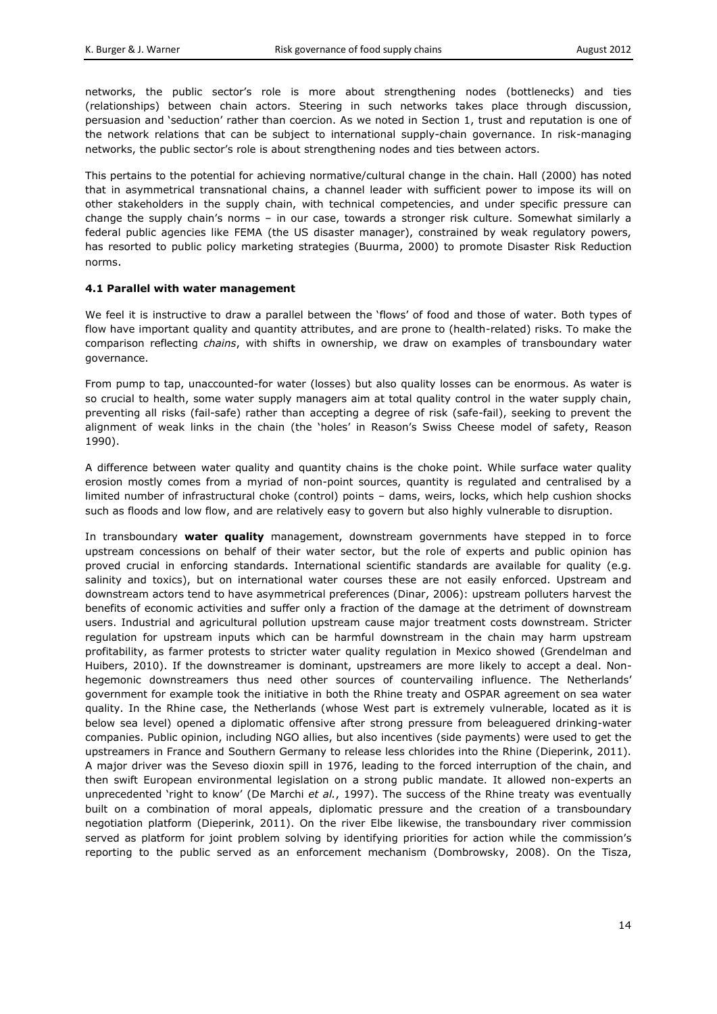networks, the public sector's role is more about strengthening nodes (bottlenecks) and ties (relationships) between chain actors. Steering in such networks takes place through discussion, persuasion and 'seduction' rather than coercion. As we noted in Section 1, trust and reputation is one of the network relations that can be subject to international supply-chain governance. In risk-managing networks, the public sector's role is about strengthening nodes and ties between actors.

This pertains to the potential for achieving normative/cultural change in the chain. Hall (2000) has noted that in asymmetrical transnational chains, a channel leader with sufficient power to impose its will on other stakeholders in the supply chain, with technical competencies, and under specific pressure can change the supply chain's norms – in our case, towards a stronger risk culture. Somewhat similarly a federal public agencies like FEMA (the US disaster manager), constrained by weak regulatory powers, has resorted to public policy marketing strategies (Buurma, 2000) to promote Disaster Risk Reduction norms.

#### **4.1 Parallel with water management**

We feel it is instructive to draw a parallel between the 'flows' of food and those of water. Both types of flow have important quality and quantity attributes, and are prone to (health-related) risks. To make the comparison reflecting *chains*, with shifts in ownership, we draw on examples of transboundary water governance.

From pump to tap, unaccounted-for water (losses) but also quality losses can be enormous. As water is so crucial to health, some water supply managers aim at total quality control in the water supply chain, preventing all risks (fail-safe) rather than accepting a degree of risk (safe-fail), seeking to prevent the alignment of weak links in the chain (the 'holes' in Reason's Swiss Cheese model of safety, Reason 1990).

A difference between water quality and quantity chains is the choke point. While surface water quality erosion mostly comes from a myriad of non-point sources, quantity is regulated and centralised by a limited number of infrastructural choke (control) points – dams, weirs, locks, which help cushion shocks such as floods and low flow, and are relatively easy to govern but also highly vulnerable to disruption.

In transboundary **water quality** management, downstream governments have stepped in to force upstream concessions on behalf of their water sector, but the role of experts and public opinion has proved crucial in enforcing standards. International scientific standards are available for quality (e.g. salinity and toxics), but on international water courses these are not easily enforced. Upstream and downstream actors tend to have asymmetrical preferences (Dinar, 2006): upstream polluters harvest the benefits of economic activities and suffer only a fraction of the damage at the detriment of downstream users. Industrial and agricultural pollution upstream cause major treatment costs downstream. Stricter regulation for upstream inputs which can be harmful downstream in the chain may harm upstream profitability, as farmer protests to stricter water quality regulation in Mexico showed (Grendelman and Huibers, 2010). If the downstreamer is dominant, upstreamers are more likely to accept a deal. Nonhegemonic downstreamers thus need other sources of countervailing influence. The Netherlands' government for example took the initiative in both the Rhine treaty and OSPAR agreement on sea water quality. In the Rhine case, the Netherlands (whose West part is extremely vulnerable, located as it is below sea level) opened a diplomatic offensive after strong pressure from beleaguered drinking-water companies. Public opinion, including NGO allies, but also incentives (side payments) were used to get the upstreamers in France and Southern Germany to release less chlorides into the Rhine (Dieperink, 2011). A major driver was the Seveso dioxin spill in 1976, leading to the forced interruption of the chain, and then swift European environmental legislation on a strong public mandate. It allowed non-experts an unprecedented 'right to know' (De Marchi *et al.*, 1997). The success of the Rhine treaty was eventually built on a combination of moral appeals, diplomatic pressure and the creation of a transboundary negotiation platform (Dieperink, 2011). On the river Elbe likewise, the transboundary river commission served as platform for joint problem solving by identifying priorities for action while the commission's reporting to the public served as an enforcement mechanism (Dombrowsky, 2008). On the Tisza,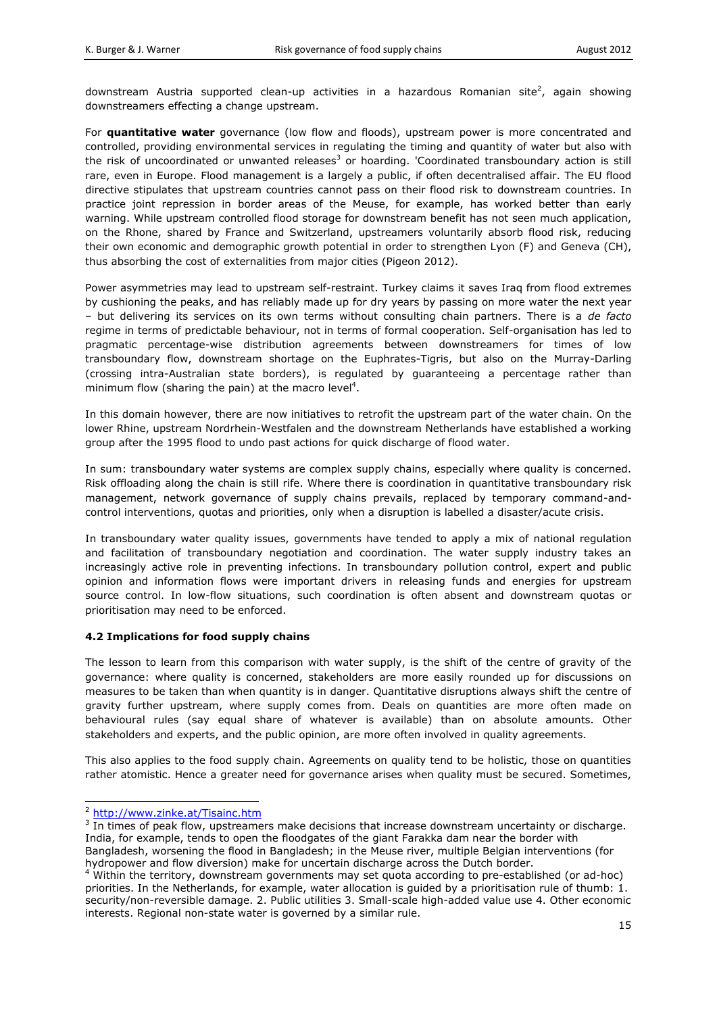downstream Austria supported clean-up activities in a hazardous Romanian site<sup>2</sup>, again showing downstreamers effecting a change upstream.

For **quantitative water** governance (low flow and floods), upstream power is more concentrated and controlled, providing environmental services in regulating the timing and quantity of water but also with the risk of uncoordinated or unwanted releases<sup>3</sup> or hoarding. 'Coordinated transboundary action is still rare, even in Europe. Flood management is a largely a public, if often decentralised affair. The EU flood directive stipulates that upstream countries cannot pass on their flood risk to downstream countries. In practice joint repression in border areas of the Meuse, for example, has worked better than early warning. While upstream controlled flood storage for downstream benefit has not seen much application, on the Rhone, shared by France and Switzerland, upstreamers voluntarily absorb flood risk, reducing their own economic and demographic growth potential in order to strengthen Lyon (F) and Geneva (CH), thus absorbing the cost of externalities from major cities (Pigeon 2012).

Power asymmetries may lead to upstream self-restraint. Turkey claims it saves Iraq from flood extremes by cushioning the peaks, and has reliably made up for dry years by passing on more water the next year – but delivering its services on its own terms without consulting chain partners. There is a *de facto* regime in terms of predictable behaviour, not in terms of formal cooperation. Self-organisation has led to pragmatic percentage-wise distribution agreements between downstreamers for times of low transboundary flow, downstream shortage on the Euphrates-Tigris, but also on the Murray-Darling (crossing intra-Australian state borders), is regulated by guaranteeing a percentage rather than minimum flow (sharing the pain) at the macro level<sup>4</sup>.

In this domain however, there are now initiatives to retrofit the upstream part of the water chain. On the lower Rhine, upstream Nordrhein-Westfalen and the downstream Netherlands have established a working group after the 1995 flood to undo past actions for quick discharge of flood water.

In sum: transboundary water systems are complex supply chains, especially where quality is concerned. Risk offloading along the chain is still rife. Where there is coordination in quantitative transboundary risk management, network governance of supply chains prevails, replaced by temporary command-andcontrol interventions, quotas and priorities, only when a disruption is labelled a disaster/acute crisis.

In transboundary water quality issues, governments have tended to apply a mix of national regulation and facilitation of transboundary negotiation and coordination. The water supply industry takes an increasingly active role in preventing infections. In transboundary pollution control, expert and public opinion and information flows were important drivers in releasing funds and energies for upstream source control. In low-flow situations, such coordination is often absent and downstream quotas or prioritisation may need to be enforced.

# **4.2 Implications for food supply chains**

The lesson to learn from this comparison with water supply, is the shift of the centre of gravity of the governance: where quality is concerned, stakeholders are more easily rounded up for discussions on measures to be taken than when quantity is in danger. Quantitative disruptions always shift the centre of gravity further upstream, where supply comes from. Deals on quantities are more often made on behavioural rules (say equal share of whatever is available) than on absolute amounts. Other stakeholders and experts, and the public opinion, are more often involved in quality agreements.

This also applies to the food supply chain. Agreements on quality tend to be holistic, those on quantities rather atomistic. Hence a greater need for governance arises when quality must be secured. Sometimes,

-

<sup>&</sup>lt;sup>2</sup> <http://www.zinke.at/Tisainc.htm>

 $3$  In times of peak flow, upstreamers make decisions that increase downstream uncertainty or discharge. India, for example, tends to open the floodgates of the giant Farakka dam near the border with Bangladesh, worsening the flood in Bangladesh; in the Meuse river, multiple Belgian interventions (for hydropower and flow diversion) make for uncertain discharge across the Dutch border.

<sup>&</sup>lt;sup>4</sup> Within the territory, downstream governments may set quota according to pre-established (or ad-hoc) priorities. In the Netherlands, for example, water allocation is guided by a prioritisation rule of thumb: 1. security/non-reversible damage. 2. Public utilities 3. Small-scale high-added value use 4. Other economic interests. Regional non-state water is governed by a similar rule.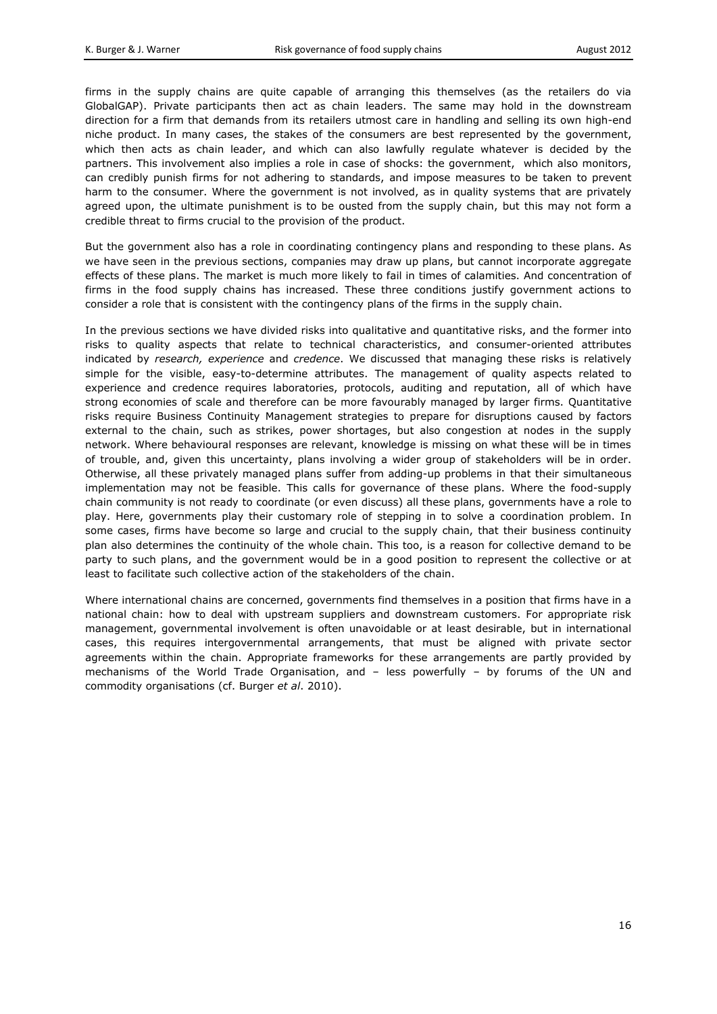firms in the supply chains are quite capable of arranging this themselves (as the retailers do via GlobalGAP). Private participants then act as chain leaders. The same may hold in the downstream direction for a firm that demands from its retailers utmost care in handling and selling its own high-end niche product. In many cases, the stakes of the consumers are best represented by the government, which then acts as chain leader, and which can also lawfully regulate whatever is decided by the partners. This involvement also implies a role in case of shocks: the government, which also monitors, can credibly punish firms for not adhering to standards, and impose measures to be taken to prevent harm to the consumer. Where the government is not involved, as in quality systems that are privately agreed upon, the ultimate punishment is to be ousted from the supply chain, but this may not form a credible threat to firms crucial to the provision of the product.

But the government also has a role in coordinating contingency plans and responding to these plans. As we have seen in the previous sections, companies may draw up plans, but cannot incorporate aggregate effects of these plans. The market is much more likely to fail in times of calamities. And concentration of firms in the food supply chains has increased. These three conditions justify government actions to consider a role that is consistent with the contingency plans of the firms in the supply chain.

In the previous sections we have divided risks into qualitative and quantitative risks, and the former into risks to quality aspects that relate to technical characteristics, and consumer-oriented attributes indicated by *research, experience* and *credence*. We discussed that managing these risks is relatively simple for the visible, easy-to-determine attributes. The management of quality aspects related to experience and credence requires laboratories, protocols, auditing and reputation, all of which have strong economies of scale and therefore can be more favourably managed by larger firms. Quantitative risks require Business Continuity Management strategies to prepare for disruptions caused by factors external to the chain, such as strikes, power shortages, but also congestion at nodes in the supply network. Where behavioural responses are relevant, knowledge is missing on what these will be in times of trouble, and, given this uncertainty, plans involving a wider group of stakeholders will be in order. Otherwise, all these privately managed plans suffer from adding-up problems in that their simultaneous implementation may not be feasible. This calls for governance of these plans. Where the food-supply chain community is not ready to coordinate (or even discuss) all these plans, governments have a role to play. Here, governments play their customary role of stepping in to solve a coordination problem. In some cases, firms have become so large and crucial to the supply chain, that their business continuity plan also determines the continuity of the whole chain. This too, is a reason for collective demand to be party to such plans, and the government would be in a good position to represent the collective or at least to facilitate such collective action of the stakeholders of the chain.

Where international chains are concerned, governments find themselves in a position that firms have in a national chain: how to deal with upstream suppliers and downstream customers. For appropriate risk management, governmental involvement is often unavoidable or at least desirable, but in international cases, this requires intergovernmental arrangements, that must be aligned with private sector agreements within the chain. Appropriate frameworks for these arrangements are partly provided by mechanisms of the World Trade Organisation, and – less powerfully – by forums of the UN and commodity organisations (cf. Burger *et al*. 2010).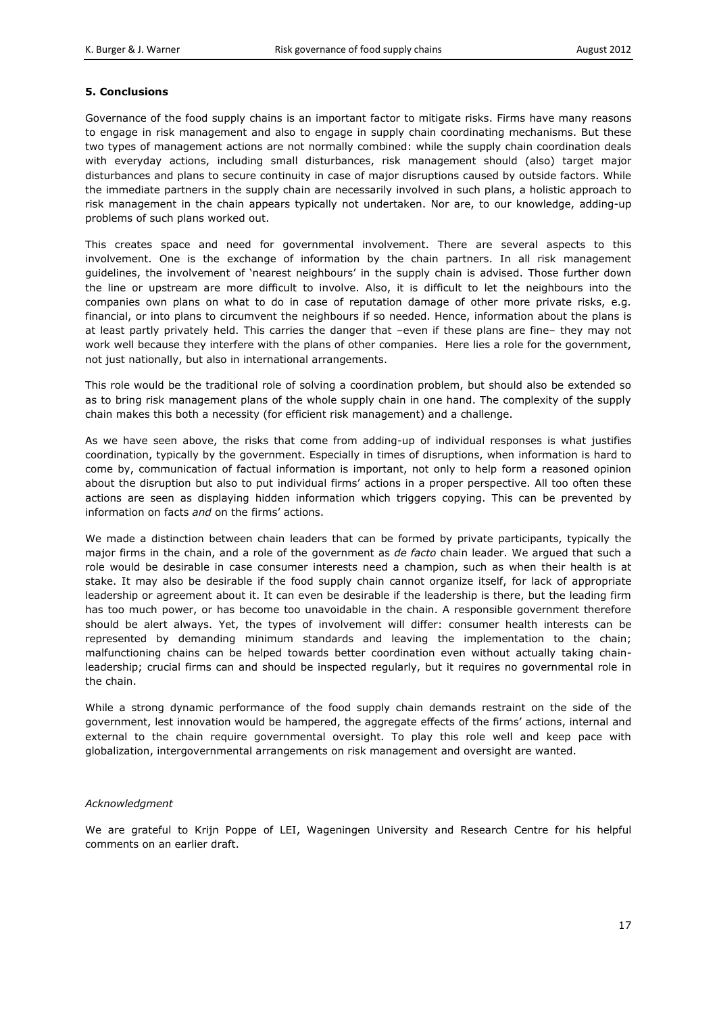#### **5. Conclusions**

Governance of the food supply chains is an important factor to mitigate risks. Firms have many reasons to engage in risk management and also to engage in supply chain coordinating mechanisms. But these two types of management actions are not normally combined: while the supply chain coordination deals with everyday actions, including small disturbances, risk management should (also) target major disturbances and plans to secure continuity in case of major disruptions caused by outside factors. While the immediate partners in the supply chain are necessarily involved in such plans, a holistic approach to risk management in the chain appears typically not undertaken. Nor are, to our knowledge, adding-up problems of such plans worked out.

This creates space and need for governmental involvement. There are several aspects to this involvement. One is the exchange of information by the chain partners. In all risk management guidelines, the involvement of 'nearest neighbours' in the supply chain is advised. Those further down the line or upstream are more difficult to involve. Also, it is difficult to let the neighbours into the companies own plans on what to do in case of reputation damage of other more private risks, e.g. financial, or into plans to circumvent the neighbours if so needed. Hence, information about the plans is at least partly privately held. This carries the danger that –even if these plans are fine– they may not work well because they interfere with the plans of other companies. Here lies a role for the government, not just nationally, but also in international arrangements.

This role would be the traditional role of solving a coordination problem, but should also be extended so as to bring risk management plans of the whole supply chain in one hand. The complexity of the supply chain makes this both a necessity (for efficient risk management) and a challenge.

As we have seen above, the risks that come from adding-up of individual responses is what justifies coordination, typically by the government. Especially in times of disruptions, when information is hard to come by, communication of factual information is important, not only to help form a reasoned opinion about the disruption but also to put individual firms' actions in a proper perspective. All too often these actions are seen as displaying hidden information which triggers copying. This can be prevented by information on facts *and* on the firms' actions.

We made a distinction between chain leaders that can be formed by private participants, typically the major firms in the chain, and a role of the government as *de facto* chain leader. We argued that such a role would be desirable in case consumer interests need a champion, such as when their health is at stake. It may also be desirable if the food supply chain cannot organize itself, for lack of appropriate leadership or agreement about it. It can even be desirable if the leadership is there, but the leading firm has too much power, or has become too unavoidable in the chain. A responsible government therefore should be alert always. Yet, the types of involvement will differ: consumer health interests can be represented by demanding minimum standards and leaving the implementation to the chain; malfunctioning chains can be helped towards better coordination even without actually taking chainleadership; crucial firms can and should be inspected regularly, but it requires no governmental role in the chain.

While a strong dynamic performance of the food supply chain demands restraint on the side of the government, lest innovation would be hampered, the aggregate effects of the firms' actions, internal and external to the chain require governmental oversight. To play this role well and keep pace with globalization, intergovernmental arrangements on risk management and oversight are wanted.

#### *Acknowledgment*

We are grateful to Krijn Poppe of LEI, Wageningen University and Research Centre for his helpful comments on an earlier draft.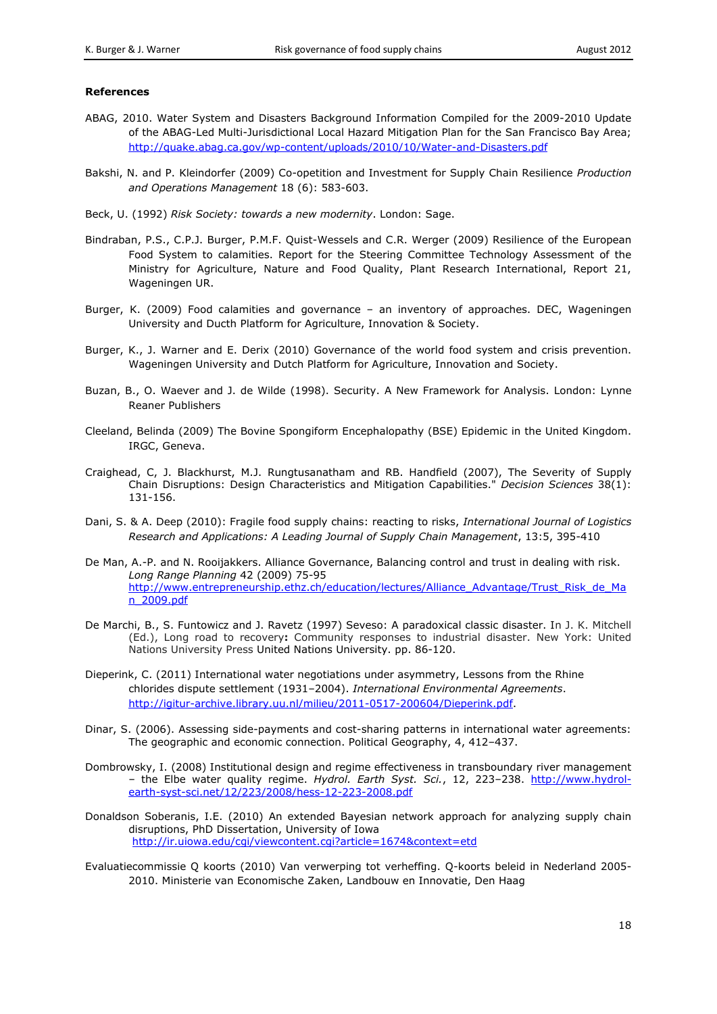#### **References**

- ABAG, 2010. Water System and Disasters Background Information Compiled for the 2009-2010 Update of the ABAG-Led Multi-Jurisdictional Local Hazard Mitigation Plan for the San Francisco Bay Area; <http://quake.abag.ca.gov/wp-content/uploads/2010/10/Water-and-Disasters.pdf>
- Bakshi, N. and P. Kleindorfer (2009) Co-opetition and Investment for Supply Chain Resilience *Production and Operations Management* 18 (6): 583-603.
- Beck, U. (1992) *Risk Society: towards a new modernity*. London: Sage.
- Bindraban, P.S., C.P.J. Burger, P.M.F. Quist-Wessels and C.R. Werger (2009) Resilience of the European Food System to calamities. Report for the Steering Committee Technology Assessment of the Ministry for Agriculture, Nature and Food Quality, Plant Research International, Report 21, Wageningen UR.
- Burger, K. (2009) Food calamities and governance an inventory of approaches. DEC, Wageningen University and Ducth Platform for Agriculture, Innovation & Society.
- Burger, K., J. Warner and E. Derix (2010) Governance of the world food system and crisis prevention. Wageningen University and Dutch Platform for Agriculture, Innovation and Society.
- Buzan, B., O. Waever and J. de Wilde (1998). Security. A New Framework for Analysis. London: Lynne Reaner Publishers
- Cleeland, Belinda (2009) The Bovine Spongiform Encephalopathy (BSE) Epidemic in the United Kingdom. IRGC, Geneva.
- Craighead, C, J. Blackhurst, M.J. Rungtusanatham and RB. Handfield (2007), The Severity of Supply Chain Disruptions: Design Characteristics and Mitigation Capabilities." *Decision Sciences* 38(1): 131-156.
- Dani, S. & A. Deep (2010): Fragile food supply chains: reacting to risks, *International Journal of Logistics Research and Applications: A Leading Journal of Supply Chain Management*, 13:5, 395-410
- De Man, A.-P. and N. Rooijakkers. Alliance Governance, Balancing control and trust in dealing with risk. *Long Range Planning* 42 (2009) 75-95 [http://www.entrepreneurship.ethz.ch/education/lectures/Alliance\\_Advantage/Trust\\_Risk\\_de\\_Ma](http://www.entrepreneurship.ethz.ch/education/lectures/Alliance_Advantage/Trust_Risk_de_Man_2009.pdf) [n\\_2009.pdf](http://www.entrepreneurship.ethz.ch/education/lectures/Alliance_Advantage/Trust_Risk_de_Man_2009.pdf)
- De Marchi, B., S. Funtowicz and J. Ravetz (1997) Seveso: A paradoxical classic disaster. In J. K. Mitchell (Ed.), Long road to recovery**:** Community responses to industrial disaster. New York: United Nations University Press United Nations University. pp. 86-120.
- Dieperink, C. (2011) International water negotiations under asymmetry, Lessons from the Rhine chlorides dispute settlement (1931–2004). *International Environmental Agreements*. [http://igitur-archive.library.uu.nl/milieu/2011-0517-200604/Dieperink.pdf.](http://igitur-archive.library.uu.nl/milieu/2011-0517-200604/Dieperink.pdf)
- Dinar, S. (2006). Assessing side-payments and cost-sharing patterns in international water agreements: The geographic and economic connection. Political Geography, 4, 412–437.
- Dombrowsky, I. (2008) Institutional design and regime effectiveness in transboundary river management – the Elbe water quality regime. *Hydrol. Earth Syst. Sci.*, 12, 223–238. [http://www.hydrol](http://www.hydrol-earth-syst-sci.net/12/223/2008/hess-12-223-2008.pdf)[earth-syst-sci.net/12/223/2008/hess-12-223-2008.pdf](http://www.hydrol-earth-syst-sci.net/12/223/2008/hess-12-223-2008.pdf)
- Donaldson Soberanis, I.E. (2010) An extended Bayesian network approach for analyzing supply chain disruptions, PhD Dissertation, University of Iowa <http://ir.uiowa.edu/cgi/viewcontent.cgi?article=1674&context=etd>
- Evaluatiecommissie Q koorts (2010) Van verwerping tot verheffing. Q-koorts beleid in Nederland 2005- 2010. Ministerie van Economische Zaken, Landbouw en Innovatie, Den Haag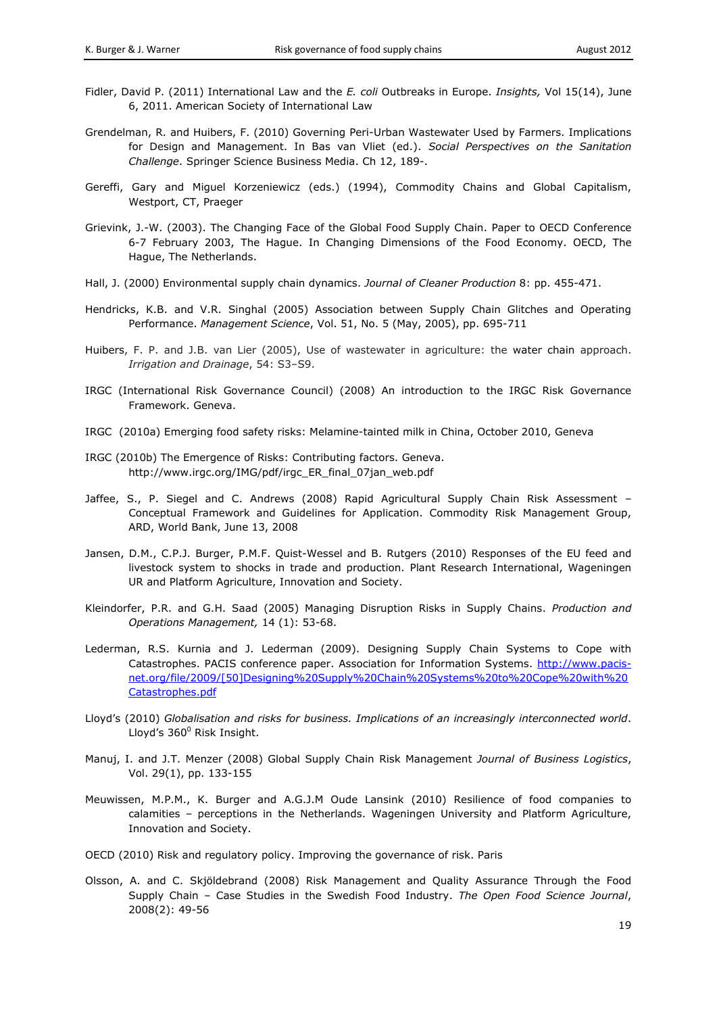- Fidler, David P. (2011) International Law and the *E. coli* Outbreaks in Europe. *Insights,* Vol 15(14), June 6, 2011. American Society of International Law
- Grendelman, R. and Huibers, F. (2010) Governing Peri-Urban Wastewater Used by Farmers. Implications for Design and Management. In Bas van Vliet (ed.). *Social Perspectives on the Sanitation Challenge*. Springer Science Business Media. Ch 12, 189-.
- Gereffi, Gary and Miguel Korzeniewicz (eds.) (1994), Commodity Chains and Global Capitalism, Westport, CT, Praeger
- Grievink, J.-W. (2003). The Changing Face of the Global Food Supply Chain. Paper to OECD Conference 6-7 February 2003, The Hague. In Changing Dimensions of the Food Economy. OECD, The Hague, The Netherlands.
- Hall, J. (2000) Environmental supply chain dynamics. *Journal of Cleaner Production* 8: pp. 455-471.
- Hendricks, K.B. and V.R. Singhal (2005) Association between Supply Chain Glitches and Operating Performance. *Management Science*, Vol. 51, No. 5 (May, 2005), pp. 695-711
- Huibers, F. P. and J.B. van Lier (2005), Use of wastewater in agriculture: the water chain approach. *Irrigation and Drainage*, 54: S3–S9.
- IRGC (International Risk Governance Council) (2008) An introduction to the IRGC Risk Governance Framework. Geneva.
- IRGC (2010a) Emerging food safety risks: Melamine-tainted milk in China, October 2010, Geneva
- IRGC (2010b) The Emergence of Risks: Contributing factors. Geneva. http://www.irgc.org/IMG/pdf/irgc\_ER\_final\_07jan\_web.pdf
- Jaffee, S., P. Siegel and C. Andrews (2008) Rapid Agricultural Supply Chain Risk Assessment Conceptual Framework and Guidelines for Application. Commodity Risk Management Group, ARD, World Bank, June 13, 2008
- Jansen, D.M., C.P.J. Burger, P.M.F. Quist-Wessel and B. Rutgers (2010) Responses of the EU feed and livestock system to shocks in trade and production. Plant Research International, Wageningen UR and Platform Agriculture, Innovation and Society.
- Kleindorfer, P.R. and G.H. Saad (2005) Managing Disruption Risks in Supply Chains. *Production and Operations Management,* 14 (1): 53-68.
- Lederman, R.S. Kurnia and J. Lederman (2009). Designing Supply Chain Systems to Cope with Catastrophes. PACIS conference paper. Association for Information Systems. [http://www.pacis](http://www.pacis-net.org/file/2009/%5b50%5dDesigning%20Supply%20Chain%20Systems%20to%20Cope%20with%20Catastrophes.pdf)[net.org/file/2009/\[50\]Designing%20Supply%20Chain%20Systems%20to%20Cope%20with%20](http://www.pacis-net.org/file/2009/%5b50%5dDesigning%20Supply%20Chain%20Systems%20to%20Cope%20with%20Catastrophes.pdf) [Catastrophes.pdf](http://www.pacis-net.org/file/2009/%5b50%5dDesigning%20Supply%20Chain%20Systems%20to%20Cope%20with%20Catastrophes.pdf)
- Lloyd's (2010) *Globalisation and risks for business. Implications of an increasingly interconnected world*. Lloyd's  $360^{\circ}$  Risk Insight.
- Manuj, I. and J.T. Menzer (2008) Global Supply Chain Risk Management *Journal of Business Logistics*, Vol. 29(1), pp. 133-155
- Meuwissen, M.P.M., K. Burger and A.G.J.M Oude Lansink (2010) Resilience of food companies to calamities – perceptions in the Netherlands. Wageningen University and Platform Agriculture, Innovation and Society.
- OECD (2010) Risk and regulatory policy. Improving the governance of risk. Paris
- Olsson, A. and C. Skjöldebrand (2008) Risk Management and Quality Assurance Through the Food Supply Chain – Case Studies in the Swedish Food Industry. *The Open Food Science Journal*, 2008(2): 49-56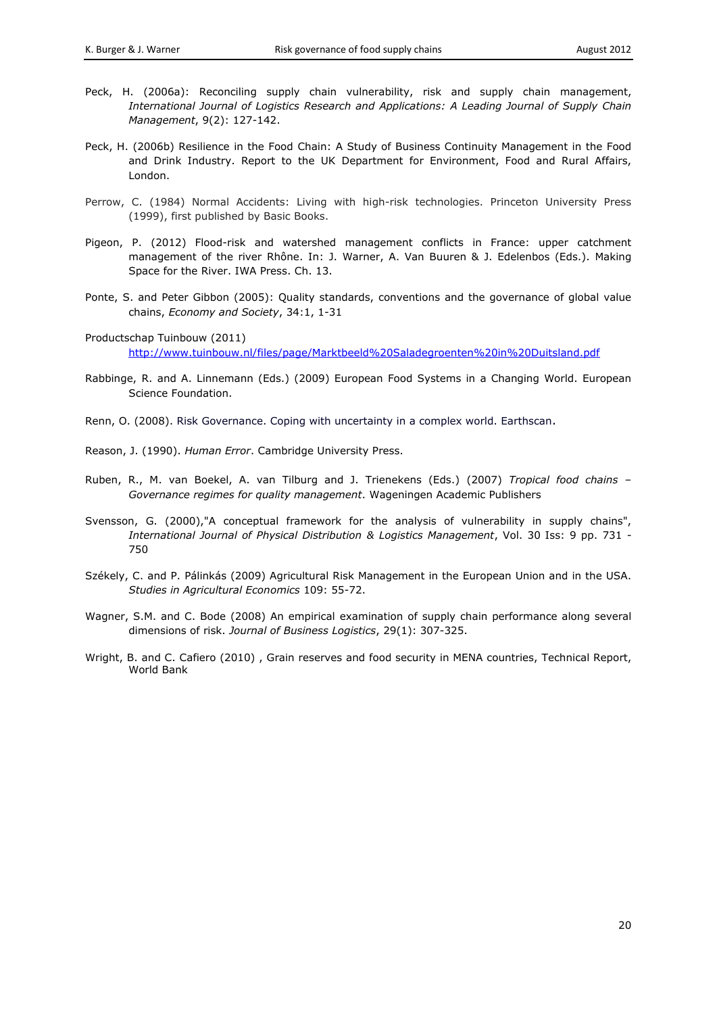- Peck, H. (2006a): Reconciling supply chain vulnerability, risk and supply chain management, *International Journal of Logistics Research and Applications: A Leading Journal of Supply Chain Management*, 9(2): 127-142.
- Peck, H. (2006b) Resilience in the Food Chain: A Study of Business Continuity Management in the Food and Drink Industry. Report to the UK Department for Environment, Food and Rural Affairs, London.
- Perrow, C. (1984) Normal Accidents: Living with high-risk technologies. Princeton University Press (1999), first published by Basic Books.
- Pigeon, P. (2012) Flood-risk and watershed management conflicts in France: upper catchment management of the river Rhône. In: J. Warner, A. Van Buuren & J. Edelenbos (Eds.). Making Space for the River. IWA Press. Ch. 13.
- Ponte, S. and Peter Gibbon (2005): Quality standards, conventions and the governance of global value chains, *Economy and Society*, 34:1, 1-31

Productschap Tuinbouw (2011) <http://www.tuinbouw.nl/files/page/Marktbeeld%20Saladegroenten%20in%20Duitsland.pdf>

- Rabbinge, R. and A. Linnemann (Eds.) (2009) European Food Systems in a Changing World. European Science Foundation.
- Renn, O. (2008). Risk Governance. Coping with uncertainty in a complex world. Earthscan.
- Reason, J. (1990). *Human Error*. Cambridge University Press.
- Ruben, R., M. van Boekel, A. van Tilburg and J. Trienekens (Eds.) (2007) *Tropical food chains – Governance regimes for quality management*. Wageningen Academic Publishers
- Svensson, G. (2000),"A conceptual framework for the analysis of vulnerability in supply chains", *International Journal of Physical Distribution & Logistics Management*, Vol. 30 Iss: 9 pp. 731 - 750
- Székely, C. and P. Pálinkás (2009) Agricultural Risk Management in the European Union and in the USA. *Studies in Agricultural Economics* 109: 55-72.
- Wagner, S.M. and C. Bode (2008) An empirical examination of supply chain performance along several dimensions of risk. *Journal of Business Logistics*, 29(1): 307-325.
- Wright, B. and C. Cafiero (2010) , Grain reserves and food security in MENA countries, Technical Report, World Bank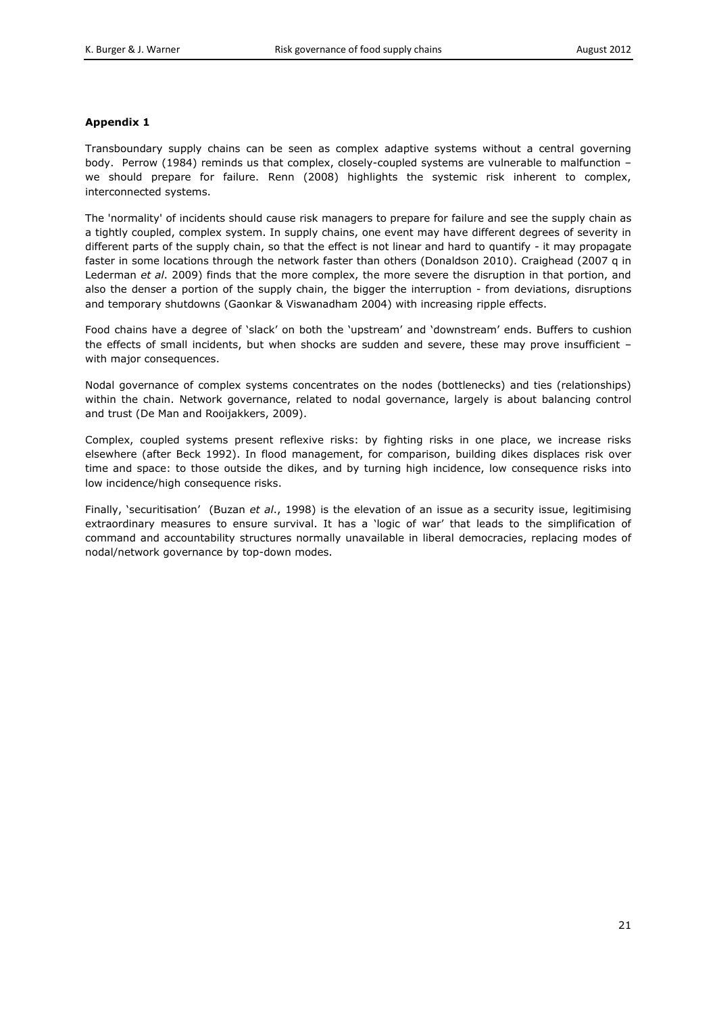# **Appendix 1**

Transboundary supply chains can be seen as complex adaptive systems without a central governing body. Perrow (1984) reminds us that complex, closely-coupled systems are vulnerable to malfunction we should prepare for failure. Renn (2008) highlights the systemic risk inherent to complex, interconnected systems.

The 'normality' of incidents should cause risk managers to prepare for failure and see the supply chain as a tightly coupled, complex system. In supply chains, one event may have different degrees of severity in different parts of the supply chain, so that the effect is not linear and hard to quantify - it may propagate faster in some locations through the network faster than others (Donaldson 2010). Craighead (2007 q in Lederman *et al*. 2009) finds that the more complex, the more severe the disruption in that portion, and also the denser a portion of the supply chain, the bigger the interruption - from deviations, disruptions and temporary shutdowns (Gaonkar & Viswanadham 2004) with increasing ripple effects.

Food chains have a degree of 'slack' on both the 'upstream' and 'downstream' ends. Buffers to cushion the effects of small incidents, but when shocks are sudden and severe, these may prove insufficient – with major consequences.

Nodal governance of complex systems concentrates on the nodes (bottlenecks) and ties (relationships) within the chain. Network governance, related to nodal governance, largely is about balancing control and trust (De Man and Rooijakkers, 2009).

Complex, coupled systems present reflexive risks: by fighting risks in one place, we increase risks elsewhere (after Beck 1992). In flood management, for comparison, building dikes displaces risk over time and space: to those outside the dikes, and by turning high incidence, low consequence risks into low incidence/high consequence risks.

Finally, 'securitisation' (Buzan *et al*., 1998) is the elevation of an issue as a security issue, legitimising extraordinary measures to ensure survival. It has a 'logic of war' that leads to the simplification of command and accountability structures normally unavailable in liberal democracies, replacing modes of nodal/network governance by top-down modes.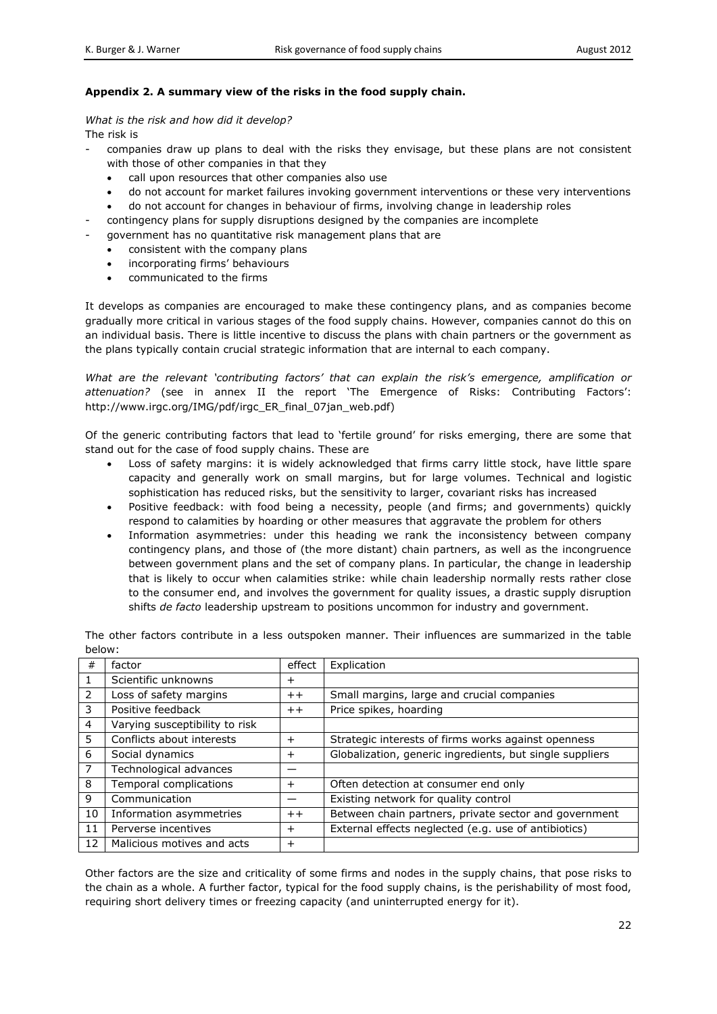# **Appendix 2. A summary view of the risks in the food supply chain.**

# *What is the risk and how did it develop?*

The risk is

- companies draw up plans to deal with the risks they envisage, but these plans are not consistent with those of other companies in that they
	- call upon resources that other companies also use
	- do not account for market failures invoking government interventions or these very interventions
	- do not account for changes in behaviour of firms, involving change in leadership roles
- contingency plans for supply disruptions designed by the companies are incomplete
- government has no quantitative risk management plans that are
	- consistent with the company plans
	- incorporating firms' behaviours
	- communicated to the firms

It develops as companies are encouraged to make these contingency plans, and as companies become gradually more critical in various stages of the food supply chains. However, companies cannot do this on an individual basis. There is little incentive to discuss the plans with chain partners or the government as the plans typically contain crucial strategic information that are internal to each company.

*What are the relevant 'contributing factors' that can explain the risk's emergence, amplification or attenuation?* (see in annex II the report 'The Emergence of Risks: Contributing Factors': http://www.irgc.org/IMG/pdf/irgc\_ER\_final\_07jan\_web.pdf)

Of the generic contributing factors that lead to 'fertile ground' for risks emerging, there are some that stand out for the case of food supply chains. These are

- Loss of safety margins: it is widely acknowledged that firms carry little stock, have little spare capacity and generally work on small margins, but for large volumes. Technical and logistic sophistication has reduced risks, but the sensitivity to larger, covariant risks has increased
- Positive feedback: with food being a necessity, people (and firms; and governments) quickly respond to calamities by hoarding or other measures that aggravate the problem for others
- Information asymmetries: under this heading we rank the inconsistency between company contingency plans, and those of (the more distant) chain partners, as well as the incongruence between government plans and the set of company plans. In particular, the change in leadership that is likely to occur when calamities strike: while chain leadership normally rests rather close to the consumer end, and involves the government for quality issues, a drastic supply disruption shifts *de facto* leadership upstream to positions uncommon for industry and government.

| #              | factor                         | effect    | Explication                                              |
|----------------|--------------------------------|-----------|----------------------------------------------------------|
| 1              | Scientific unknowns            | $\ddot{}$ |                                                          |
| 2              | Loss of safety margins         | $^+$      | Small margins, large and crucial companies               |
| 3              | Positive feedback              | $++$      | Price spikes, hoarding                                   |
| $\overline{4}$ | Varying susceptibility to risk |           |                                                          |
| 5              | Conflicts about interests      | $^{+}$    | Strategic interests of firms works against openness      |
| 6              | Social dynamics                | $\pm$     | Globalization, generic ingredients, but single suppliers |
| $\overline{7}$ | Technological advances         |           |                                                          |
| 8              | Temporal complications         | $^{+}$    | Often detection at consumer end only                     |
| 9              | Communication                  |           | Existing network for quality control                     |
| 10             | Information asymmetries        | $++$      | Between chain partners, private sector and government    |
| 11             | Perverse incentives            | $\,{}^+$  | External effects neglected (e.g. use of antibiotics)     |
| 12             | Malicious motives and acts     | $^{+}$    |                                                          |

The other factors contribute in a less outspoken manner. Their influences are summarized in the table below:

Other factors are the size and criticality of some firms and nodes in the supply chains, that pose risks to the chain as a whole. A further factor, typical for the food supply chains, is the perishability of most food, requiring short delivery times or freezing capacity (and uninterrupted energy for it).